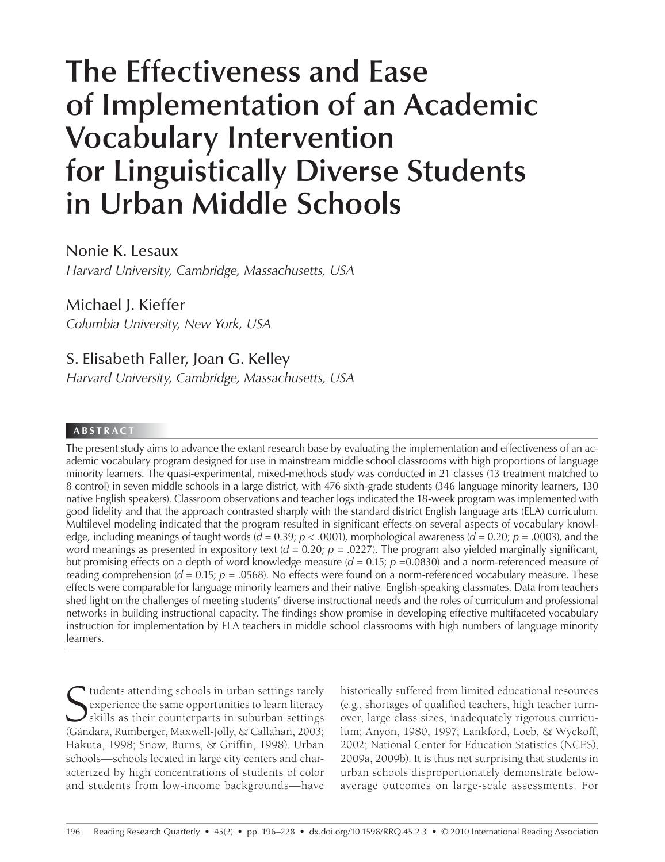# **The Effectiveness and Ease of Implementation of an Academic Vocabulary Intervention for Linguistically Diverse Students in Urban Middle Schools**

Nonie K. Lesaux

*Harvard University, Cambridge, Massachusetts, USA*

## Michael J. Kieffer

*Columbia University, New York, USA*

# S. Elisabeth Faller, Joan G. Kelley

*Harvard University, Cambridge, Massachusetts, USA*

#### **A B S T R A C T**

The present study aims to advance the extant research base by evaluating the implementation and effectiveness of an academic vocabulary program designed for use in mainstream middle school classrooms with high proportions of language minority learners. The quasi-experimental, mixed-methods study was conducted in 21 classes (13 treatment matched to 8 control) in seven middle schools in a large district, with 476 sixth-grade students (346 language minority learners, 130 native English speakers). Classroom observations and teacher logs indicated the 18-week program was implemented with good fidelity and that the approach contrasted sharply with the standard district English language arts (ELA) curriculum. Multilevel modeling indicated that the program resulted in significant effects on several aspects of vocabulary knowledge, including meanings of taught words (*d* = 0.39; *p* < .0001), morphological awareness (*d* = 0.20; *p* = .0003), and the word meanings as presented in expository text  $(d = 0.20; p = .0227)$ . The program also yielded marginally significant, but promising effects on a depth of word knowledge measure (*d* = 0.15; *p* =0.0830) and a norm-referenced measure of reading comprehension ( $d = 0.15$ ;  $p = .0568$ ). No effects were found on a norm-referenced vocabulary measure. These effects were comparable for language minority learners and their native–English-speaking classmates. Data from teachers shed light on the challenges of meeting students' diverse instructional needs and the roles of curriculum and professional networks in building instructional capacity. The findings show promise in developing effective multifaceted vocabulary instruction for implementation by ELA teachers in middle school classrooms with high numbers of language minority learners.

Sudents attending schools in urban settings rarely<br>
skills as their counterparts in suburban settings<br>
(Gándara, Rumberger, Maxwell-Jolly, & Callahan, 2003; tudents attending schools in urban settings rarely experience the same opportunities to learn literacy  $\boldsymbol{J}$  skills as their counterparts in suburban settings Hakuta, 1998; Snow, Burns, & Griffin, 1998). Urban schools—schools located in large city centers and characterized by high concentrations of students of color and students from low-income backgrounds—have

historically suffered from limited educational resources (e.g., shortages of qualified teachers, high teacher turnover, large class sizes, inadequately rigorous curriculum; Anyon, 1980, 1997; Lankford, Loeb, & Wyckoff, 2002; National Center for Education Statistics (NCES), 2009a, 2009b). It is thus not surprising that students in urban schools disproportionately demonstrate belowaverage outcomes on large-scale assessments. For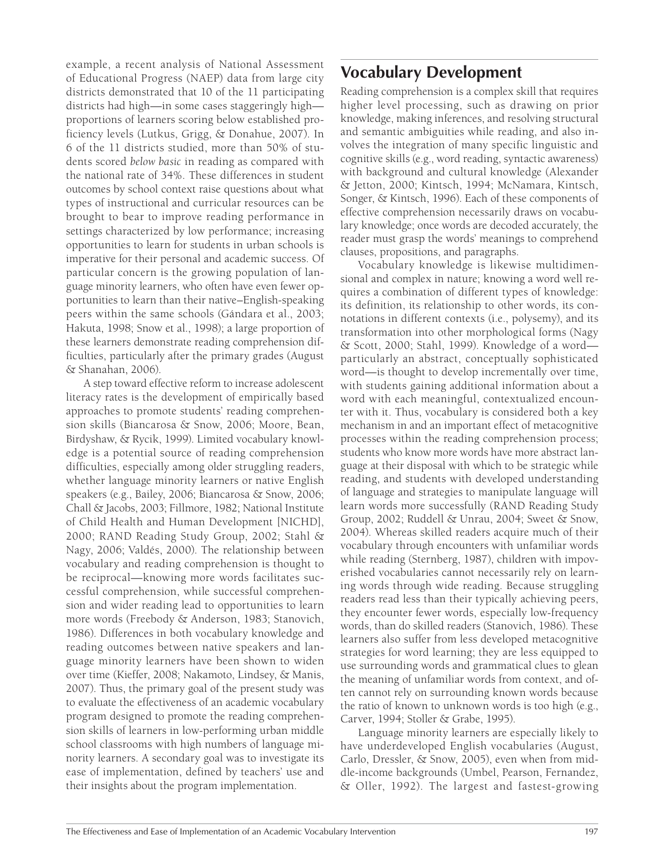example, a recent analysis of National Assessment of Educational Progress (NAEP) data from large city districts demonstrated that 10 of the 11 participating districts had high—in some cases staggeringly high proportions of learners scoring below established proficiency levels (Lutkus, Grigg, & Donahue, 2007). In 6 of the 11 districts studied, more than 50% of students scored *below basic* in reading as compared with the national rate of 34%. These differences in student outcomes by school context raise questions about what types of instructional and curricular resources can be brought to bear to improve reading performance in settings characterized by low performance; increasing opportunities to learn for students in urban schools is imperative for their personal and academic success. Of particular concern is the growing population of language minority learners, who often have even fewer opportunities to learn than their native–English-speaking peers within the same schools (Gándara et al., 2003; Hakuta, 1998; Snow et al., 1998); a large proportion of these learners demonstrate reading comprehension difficulties, particularly after the primary grades (August & Shanahan, 2006).

A step toward effective reform to increase adolescent literacy rates is the development of empirically based approaches to promote students' reading comprehension skills (Biancarosa & Snow, 2006; Moore, Bean, Birdyshaw, & Rycik, 1999). Limited vocabulary knowledge is a potential source of reading comprehension difficulties, especially among older struggling readers, whether language minority learners or native English speakers (e.g., Bailey, 2006; Biancarosa & Snow, 2006; Chall & Jacobs, 2003; Fillmore, 1982; National Institute of Child Health and Human Development [NICHD], 2000; RAND Reading Study Group, 2002; Stahl & Nagy, 2006; Valdés, 2000). The relationship between vocabulary and reading comprehension is thought to be reciprocal—knowing more words facilitates successful comprehension, while successful comprehension and wider reading lead to opportunities to learn more words (Freebody & Anderson, 1983; Stanovich, 1986). Differences in both vocabulary knowledge and reading outcomes between native speakers and language minority learners have been shown to widen over time (Kieffer, 2008; Nakamoto, Lindsey, & Manis, 2007). Thus, the primary goal of the present study was to evaluate the effectiveness of an academic vocabulary program designed to promote the reading comprehension skills of learners in low-performing urban middle school classrooms with high numbers of language minority learners. A secondary goal was to investigate its ease of implementation, defined by teachers' use and their insights about the program implementation.

# **Vocabulary Development**

Reading comprehension is a complex skill that requires higher level processing, such as drawing on prior knowledge, making inferences, and resolving structural and semantic ambiguities while reading, and also involves the integration of many specific linguistic and cognitive skills (e.g., word reading, syntactic awareness) with background and cultural knowledge (Alexander & Jetton, 2000; Kintsch, 1994; McNamara, Kintsch, Songer, & Kintsch, 1996). Each of these components of effective comprehension necessarily draws on vocabulary knowledge; once words are decoded accurately, the reader must grasp the words' meanings to comprehend clauses, propositions, and paragraphs.

Vocabulary knowledge is likewise multidimensional and complex in nature; knowing a word well requires a combination of different types of knowledge: its definition, its relationship to other words, its connotations in different contexts (i.e., polysemy), and its transformation into other morphological forms (Nagy & Scott, 2000; Stahl, 1999). Knowledge of a word particularly an abstract, conceptually sophisticated word—is thought to develop incrementally over time, with students gaining additional information about a word with each meaningful, contextualized encounter with it. Thus, vocabulary is considered both a key mechanism in and an important effect of metacognitive processes within the reading comprehension process; students who know more words have more abstract language at their disposal with which to be strategic while reading, and students with developed understanding of language and strategies to manipulate language will learn words more successfully (RAND Reading Study Group, 2002; Ruddell & Unrau, 2004; Sweet & Snow, 2004). Whereas skilled readers acquire much of their vocabulary through encounters with unfamiliar words while reading (Sternberg, 1987), children with impoverished vocabularies cannot necessarily rely on learning words through wide reading. Because struggling readers read less than their typically achieving peers, they encounter fewer words, especially low-frequency words, than do skilled readers (Stanovich, 1986). These learners also suffer from less developed metacognitive strategies for word learning; they are less equipped to use surrounding words and grammatical clues to glean the meaning of unfamiliar words from context, and often cannot rely on surrounding known words because the ratio of known to unknown words is too high (e.g., Carver, 1994; Stoller & Grabe, 1995).

Language minority learners are especially likely to have underdeveloped English vocabularies (August, Carlo, Dressler, & Snow, 2005), even when from middle-income backgrounds (Umbel, Pearson, Fernandez, & Oller, 1992). The largest and fastest-growing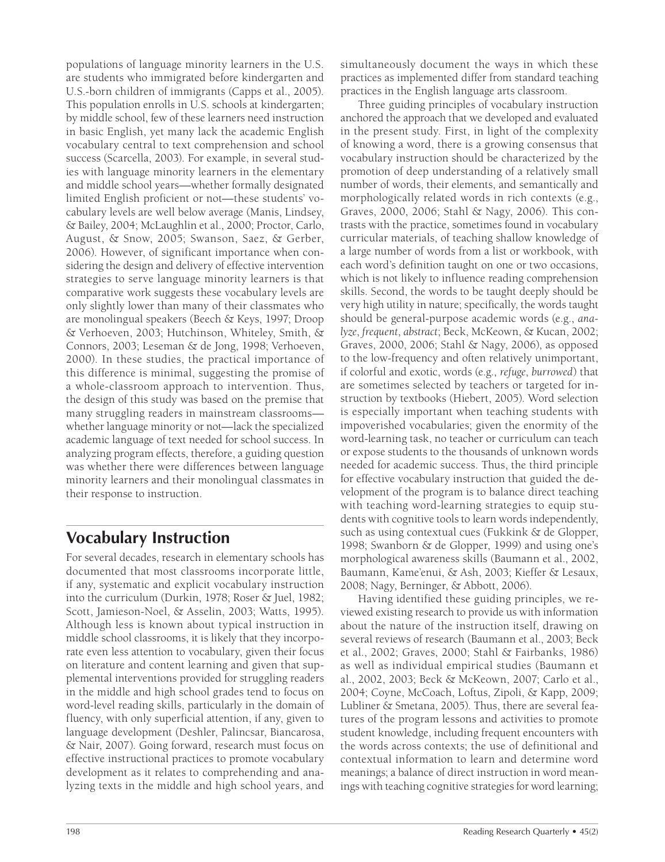populations of language minority learners in the U.S. are students who immigrated before kindergarten and U.S.-born children of immigrants (Capps et al., 2005). This population enrolls in U.S. schools at kindergarten; by middle school, few of these learners need instruction in basic English, yet many lack the academic English vocabulary central to text comprehension and school success (Scarcella, 2003). For example, in several studies with language minority learners in the elementary and middle school years—whether formally designated limited English proficient or not—these students' vocabulary levels are well below average (Manis, Lindsey, & Bailey, 2004; McLaughlin et al., 2000; Proctor, Carlo, August, & Snow, 2005; Swanson, Saez, & Gerber, 2006). However, of significant importance when considering the design and delivery of effective intervention strategies to serve language minority learners is that comparative work suggests these vocabulary levels are only slightly lower than many of their classmates who are monolingual speakers (Beech & Keys, 1997; Droop & Verhoeven, 2003; Hutchinson, Whiteley, Smith, & Connors, 2003; Leseman & de Jong, 1998; Verhoeven, 2000). In these studies, the practical importance of this difference is minimal, suggesting the promise of a whole-classroom approach to intervention. Thus, the design of this study was based on the premise that many struggling readers in mainstream classrooms whether language minority or not—lack the specialized academic language of text needed for school success. In analyzing program effects, therefore, a guiding question was whether there were differences between language minority learners and their monolingual classmates in their response to instruction.

# **Vocabulary Instruction**

For several decades, research in elementary schools has documented that most classrooms incorporate little, if any, systematic and explicit vocabulary instruction into the curriculum (Durkin, 1978; Roser & Juel, 1982; Scott, Jamieson-Noel, & Asselin, 2003; Watts, 1995). Although less is known about typical instruction in middle school classrooms, it is likely that they incorporate even less attention to vocabulary, given their focus on literature and content learning and given that supplemental interventions provided for struggling readers in the middle and high school grades tend to focus on word-level reading skills, particularly in the domain of fluency, with only superficial attention, if any, given to language development (Deshler, Palincsar, Biancarosa, & Nair, 2007). Going forward, research must focus on effective instructional practices to promote vocabulary development as it relates to comprehending and analyzing texts in the middle and high school years, and

simultaneously document the ways in which these practices as implemented differ from standard teaching practices in the English language arts classroom.

Three guiding principles of vocabulary instruction anchored the approach that we developed and evaluated in the present study. First, in light of the complexity of knowing a word, there is a growing consensus that vocabulary instruction should be characterized by the promotion of deep understanding of a relatively small number of words, their elements, and semantically and morphologically related words in rich contexts (e.g., Graves, 2000, 2006; Stahl & Nagy, 2006). This contrasts with the practice, sometimes found in vocabulary curricular materials, of teaching shallow knowledge of a large number of words from a list or workbook, with each word's definition taught on one or two occasions, which is not likely to influence reading comprehension skills. Second, the words to be taught deeply should be very high utility in nature; specifically, the words taught should be general-purpose academic words (e.g., *analyze*, *frequent*, *abstract*; Beck, McKeown, & Kucan, 2002; Graves, 2000, 2006; Stahl & Nagy, 2006), as opposed to the low-frequency and often relatively unimportant, if colorful and exotic, words (e.g., *refuge*, *burrowed*) that are sometimes selected by teachers or targeted for instruction by textbooks (Hiebert, 2005). Word selection is especially important when teaching students with impoverished vocabularies; given the enormity of the word-learning task, no teacher or curriculum can teach or expose students to the thousands of unknown words needed for academic success. Thus, the third principle for effective vocabulary instruction that guided the development of the program is to balance direct teaching with teaching word-learning strategies to equip students with cognitive tools to learn words independently, such as using contextual cues (Fukkink & de Glopper, 1998; Swanborn & de Glopper, 1999) and using one's morphological awareness skills (Baumann et al., 2002, Baumann, Kame'enui, & Ash, 2003; Kieffer & Lesaux, 2008; Nagy, Berninger, & Abbott, 2006).

Having identified these guiding principles, we reviewed existing research to provide us with information about the nature of the instruction itself, drawing on several reviews of research (Baumann et al., 2003; Beck et al., 2002; Graves, 2000; Stahl & Fairbanks, 1986) as well as individual empirical studies (Baumann et al., 2002, 2003; Beck & McKeown, 2007; Carlo et al., 2004; Coyne, McCoach, Loftus, Zipoli, & Kapp, 2009; Lubliner & Smetana, 2005). Thus, there are several features of the program lessons and activities to promote student knowledge, including frequent encounters with the words across contexts; the use of definitional and contextual information to learn and determine word meanings; a balance of direct instruction in word meanings with teaching cognitive strategies for word learning;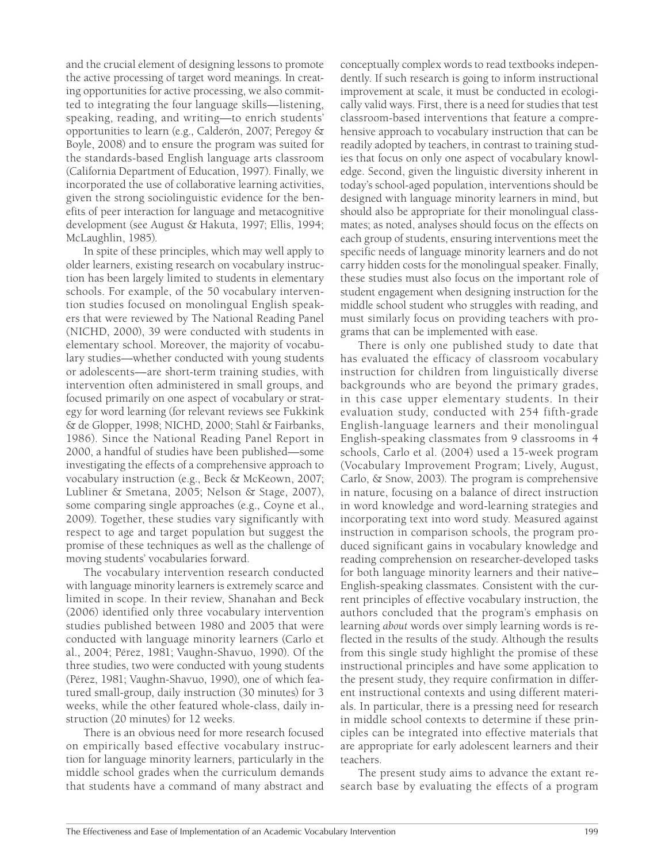and the crucial element of designing lessons to promote the active processing of target word meanings. In creating opportunities for active processing, we also committed to integrating the four language skills—listening, speaking, reading, and writing—to enrich students' opportunities to learn (e.g., Calderón, 2007; Peregoy & Boyle, 2008) and to ensure the program was suited for the standards-based English language arts classroom (California Department of Education, 1997). Finally, we incorporated the use of collaborative learning activities, given the strong sociolinguistic evidence for the benefits of peer interaction for language and metacognitive development (see August & Hakuta, 1997; Ellis, 1994; McLaughlin, 1985).

In spite of these principles, which may well apply to older learners, existing research on vocabulary instruction has been largely limited to students in elementary schools. For example, of the 50 vocabulary intervention studies focused on monolingual English speakers that were reviewed by The National Reading Panel (NICHD, 2000), 39 were conducted with students in elementary school. Moreover, the majority of vocabulary studies—whether conducted with young students or adolescents—are short-term training studies, with intervention often administered in small groups, and focused primarily on one aspect of vocabulary or strategy for word learning (for relevant reviews see Fukkink & de Glopper, 1998; NICHD, 2000; Stahl & Fairbanks, 1986). Since the National Reading Panel Report in 2000, a handful of studies have been published—some investigating the effects of a comprehensive approach to vocabulary instruction (e.g., Beck & McKeown, 2007; Lubliner & Smetana, 2005; Nelson & Stage, 2007), some comparing single approaches (e.g., Coyne et al., 2009). Together, these studies vary significantly with respect to age and target population but suggest the promise of these techniques as well as the challenge of moving students' vocabularies forward.

The vocabulary intervention research conducted with language minority learners is extremely scarce and limited in scope. In their review, Shanahan and Beck (2006) identified only three vocabulary intervention studies published between 1980 and 2005 that were conducted with language minority learners (Carlo et al., 2004; Pérez, 1981; Vaughn-Shavuo, 1990). Of the three studies, two were conducted with young students (Pérez, 1981; Vaughn-Shavuo, 1990), one of which featured small-group, daily instruction (30 minutes) for 3 weeks, while the other featured whole-class, daily instruction (20 minutes) for 12 weeks.

There is an obvious need for more research focused on empirically based effective vocabulary instruction for language minority learners, particularly in the middle school grades when the curriculum demands that students have a command of many abstract and conceptually complex words to read textbooks independently. If such research is going to inform instructional improvement at scale, it must be conducted in ecologically valid ways. First, there is a need for studies that test classroom-based interventions that feature a comprehensive approach to vocabulary instruction that can be readily adopted by teachers, in contrast to training studies that focus on only one aspect of vocabulary knowledge. Second, given the linguistic diversity inherent in today's school-aged population, interventions should be designed with language minority learners in mind, but should also be appropriate for their monolingual classmates; as noted, analyses should focus on the effects on each group of students, ensuring interventions meet the specific needs of language minority learners and do not carry hidden costs for the monolingual speaker. Finally, these studies must also focus on the important role of student engagement when designing instruction for the middle school student who struggles with reading, and must similarly focus on providing teachers with programs that can be implemented with ease.

There is only one published study to date that has evaluated the efficacy of classroom vocabulary instruction for children from linguistically diverse backgrounds who are beyond the primary grades, in this case upper elementary students. In their evaluation study, conducted with 254 fifth-grade English-language learners and their monolingual English-speaking classmates from 9 classrooms in 4 schools, Carlo et al. (2004) used a 15-week program (Vocabulary Improvement Program; Lively, August, Carlo, & Snow, 2003). The program is comprehensive in nature, focusing on a balance of direct instruction in word knowledge and word-learning strategies and incorporating text into word study. Measured against instruction in comparison schools, the program produced significant gains in vocabulary knowledge and reading comprehension on researcher-developed tasks for both language minority learners and their native– English-speaking classmates. Consistent with the current principles of effective vocabulary instruction, the authors concluded that the program's emphasis on learning *about* words over simply learning words is reflected in the results of the study. Although the results from this single study highlight the promise of these instructional principles and have some application to the present study, they require confirmation in different instructional contexts and using different materials. In particular, there is a pressing need for research in middle school contexts to determine if these principles can be integrated into effective materials that are appropriate for early adolescent learners and their teachers.

The present study aims to advance the extant research base by evaluating the effects of a program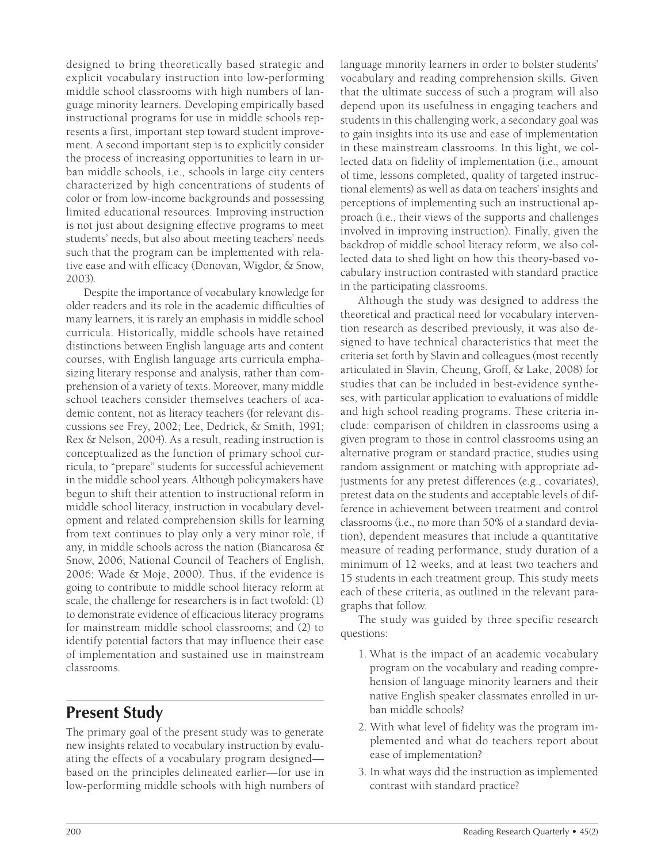designed to bring theoretically based strategic and explicit vocabulary instruction into low-performing middle school classrooms with high numbers of language minority learners. Developing empirically based instructional programs for use in middle schools represents a first, important step toward student improvement. A second important step is to explicitly consider the process of increasing opportunities to learn in urban middle schools, i.e., schools in large city centers characterized by high concentrations of students of color or from low-income backgrounds and possessing limited educational resources. Improving instruction is not just about designing effective programs to meet students' needs, but also about meeting teachers' needs such that the program can be implemented with relative ease and with efficacy (Donovan, Wigdor, & Snow, 2003).

Despite the importance of vocabulary knowledge for older readers and its role in the academic difficulties of many learners, it is rarely an emphasis in middle school curricula. Historically, middle schools have retained distinctions between English language arts and content courses, with English language arts curricula emphasizing literary response and analysis, rather than comprehension of a variety of texts. Moreover, many middle school teachers consider themselves teachers of academic content, not as literacy teachers (for relevant discussions see Frey, 2002; Lee, Dedrick, & Smith, 1991; Rex & Nelson, 2004). As a result, reading instruction is conceptualized as the function of primary school curricula, to "prepare" students for successful achievement in the middle school years. Although policymakers have begun to shift their attention to instructional reform in middle school literacy, instruction in vocabulary development and related comprehension skills for learning from text continues to play only a very minor role, if any, in middle schools across the nation (Biancarosa & Snow, 2006; National Council of Teachers of English, 2006; Wade & Moje, 2000). Thus, if the evidence is going to contribute to middle school literacy reform at scale, the challenge for researchers is in fact twofold: (1) to demonstrate evidence of efficacious literacy programs for mainstream middle school classrooms; and (2) to identify potential factors that may influence their ease of implementation and sustained use in mainstream classrooms.

# **Present Study**

The primary goal of the present study was to generate new insights related to vocabulary instruction by evaluating the effects of a vocabulary program designed based on the principles delineated earlier—for use in low-performing middle schools with high numbers of language minority learners in order to bolster students' vocabulary and reading comprehension skills. Given that the ultimate success of such a program will also depend upon its usefulness in engaging teachers and students in this challenging work, a secondary goal was to gain insights into its use and ease of implementation in these mainstream classrooms. In this light, we collected data on fidelity of implementation (i.e., amount of time, lessons completed, quality of targeted instructional elements) as well as data on teachers' insights and perceptions of implementing such an instructional approach (i.e., their views of the supports and challenges involved in improving instruction). Finally, given the backdrop of middle school literacy reform, we also collected data to shed light on how this theory-based vocabulary instruction contrasted with standard practice in the participating classrooms.

Although the study was designed to address the theoretical and practical need for vocabulary intervention research as described previously, it was also designed to have technical characteristics that meet the criteria set forth by Slavin and colleagues (most recently articulated in Slavin, Cheung, Groff, & Lake, 2008) for studies that can be included in best-evidence syntheses, with particular application to evaluations of middle and high school reading programs. These criteria include: comparison of children in classrooms using a given program to those in control classrooms using an alternative program or standard practice, studies using random assignment or matching with appropriate adjustments for any pretest differences (e.g., covariates), pretest data on the students and acceptable levels of difference in achievement between treatment and control classrooms (i.e., no more than 50% of a standard deviation), dependent measures that include a quantitative measure of reading performance, study duration of a minimum of 12 weeks, and at least two teachers and 15 students in each treatment group. This study meets each of these criteria, as outlined in the relevant paragraphs that follow.

The study was guided by three specific research questions:

- 1. What is the impact of an academic vocabulary program on the vocabulary and reading comprehension of language minority learners and their native English speaker classmates enrolled in urban middle schools?
- 2. With what level of fidelity was the program implemented and what do teachers report about ease of implementation?
- 3. In what ways did the instruction as implemented contrast with standard practice?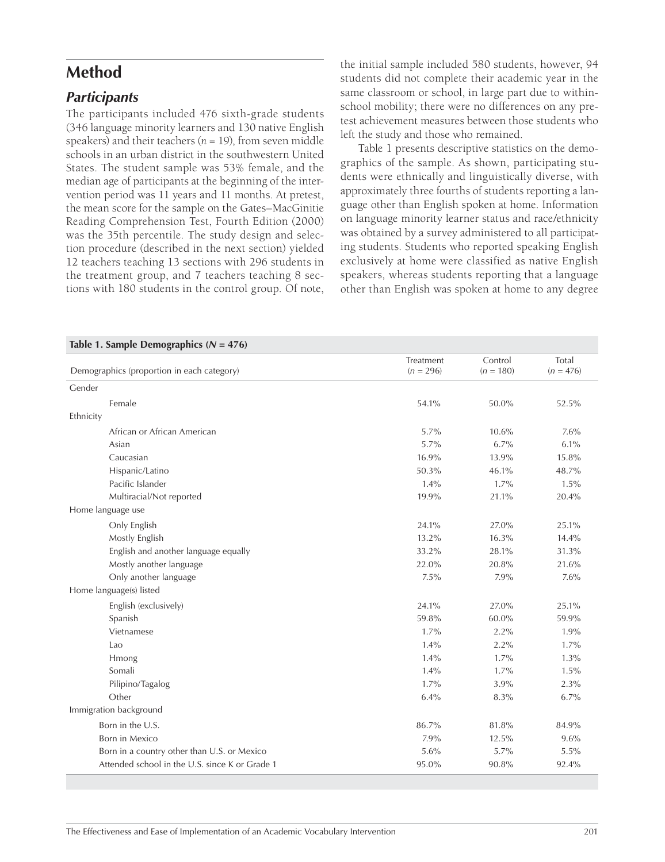# **Method**

#### *Participants*

The participants included 476 sixth-grade students (346 language minority learners and 130 native English speakers) and their teachers (*n* = 19), from seven middle schools in an urban district in the southwestern United States. The student sample was 53% female, and the median age of participants at the beginning of the intervention period was 11 years and 11 months. At pretest, the mean score for the sample on the Gates–MacGinitie Reading Comprehension Test, Fourth Edition (2000) was the 35th percentile. The study design and selection procedure (described in the next section) yielded 12 teachers teaching 13 sections with 296 students in the treatment group, and 7 teachers teaching 8 sections with 180 students in the control group. Of note, the initial sample included 580 students, however, 94 students did not complete their academic year in the same classroom or school, in large part due to withinschool mobility; there were no differences on any pretest achievement measures between those students who left the study and those who remained.

Table 1 presents descriptive statistics on the demographics of the sample. As shown, participating students were ethnically and linguistically diverse, with approximately three fourths of students reporting a language other than English spoken at home. Information on language minority learner status and race/ethnicity was obtained by a survey administered to all participating students. Students who reported speaking English exclusively at home were classified as native English speakers, whereas students reporting that a language other than English was spoken at home to any degree

| Table 1. Sample Demographics ( $N = 476$ )     |                          |                        |                      |
|------------------------------------------------|--------------------------|------------------------|----------------------|
| Demographics (proportion in each category)     | Treatment<br>$(n = 296)$ | Control<br>$(n = 180)$ | Total<br>$(n = 476)$ |
| Gender                                         |                          |                        |                      |
| Female                                         | 54.1%                    | 50.0%                  | 52.5%                |
| Ethnicity                                      |                          |                        |                      |
| African or African American                    | 5.7%                     | 10.6%                  | 7.6%                 |
| Asian                                          | 5.7%                     | $6.7\%$                | 6.1%                 |
| Caucasian                                      | 16.9%                    | 13.9%                  | 15.8%                |
| Hispanic/Latino                                | 50.3%                    | 46.1%                  | 48.7%                |
| Pacific Islander                               | 1.4%                     | $1.7\%$                | 1.5%                 |
| Multiracial/Not reported                       | 19.9%                    | 21.1%                  | 20.4%                |
| Home language use                              |                          |                        |                      |
| Only English                                   | 24.1%                    | 27.0%                  | 25.1%                |
| Mostly English                                 | 13.2%                    | 16.3%                  | 14.4%                |
| English and another language equally           | 33.2%                    | 28.1%                  | 31.3%                |
| Mostly another language                        | 22.0%                    | 20.8%                  | 21.6%                |
| Only another language                          | 7.5%                     | 7.9%                   | 7.6%                 |
| Home language(s) listed                        |                          |                        |                      |
| English (exclusively)                          | 24.1%                    | 27.0%                  | 25.1%                |
| Spanish                                        | 59.8%                    | $60.0\%$               | 59.9%                |
| Vietnamese                                     | 1.7%                     | 2.2%                   | 1.9%                 |
| Lao                                            | 1.4%                     | 2.2%                   | 1.7%                 |
| Hmong                                          | 1.4%                     | 1.7%                   | 1.3%                 |
| Somali                                         | 1.4%                     | 1.7%                   | 1.5%                 |
| Pilipino/Tagalog                               | 1.7%                     | 3.9%                   | 2.3%                 |
| Other                                          | 6.4%                     | 8.3%                   | 6.7%                 |
| Immigration background                         |                          |                        |                      |
| Born in the U.S.                               | 86.7%                    | 81.8%                  | 84.9%                |
| Born in Mexico                                 | 7.9%                     | 12.5%                  | 9.6%                 |
| Born in a country other than U.S. or Mexico    | 5.6%                     | 5.7%                   | 5.5%                 |
| Attended school in the U.S. since K or Grade 1 | 95.0%                    | 90.8%                  | 92.4%                |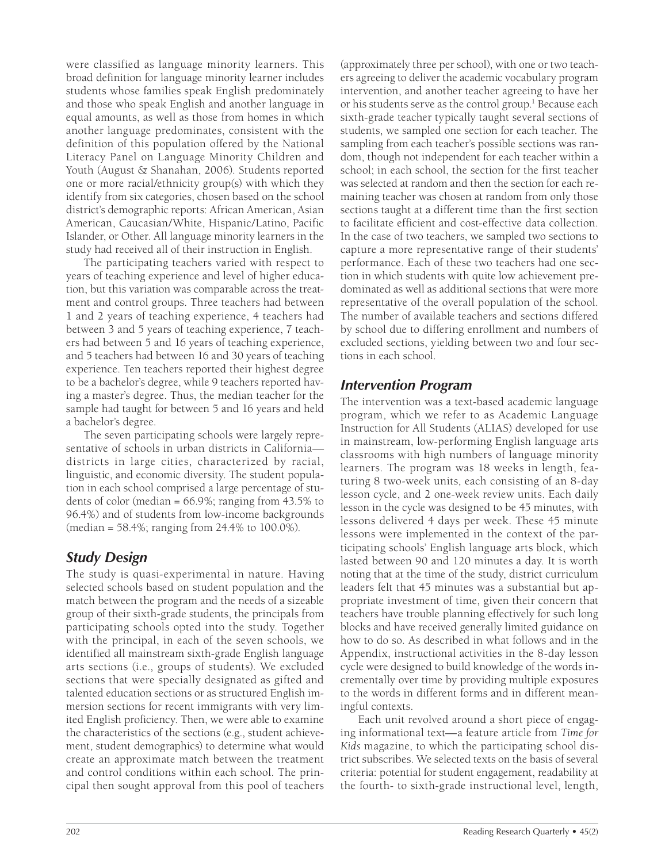were classified as language minority learners. This broad definition for language minority learner includes students whose families speak English predominately and those who speak English and another language in equal amounts, as well as those from homes in which another language predominates, consistent with the definition of this population offered by the National Literacy Panel on Language Minority Children and Youth (August & Shanahan, 2006). Students reported one or more racial/ethnicity group(s) with which they identify from six categories, chosen based on the school district's demographic reports: African American, Asian American, Caucasian/White, Hispanic/Latino, Pacific Islander, or Other. All language minority learners in the study had received all of their instruction in English.

The participating teachers varied with respect to years of teaching experience and level of higher education, but this variation was comparable across the treatment and control groups. Three teachers had between 1 and 2 years of teaching experience, 4 teachers had between 3 and 5 years of teaching experience, 7 teachers had between 5 and 16 years of teaching experience, and 5 teachers had between 16 and 30 years of teaching experience. Ten teachers reported their highest degree to be a bachelor's degree, while 9 teachers reported having a master's degree. Thus, the median teacher for the sample had taught for between 5 and 16 years and held a bachelor's degree.

The seven participating schools were largely representative of schools in urban districts in California districts in large cities, characterized by racial, linguistic, and economic diversity. The student population in each school comprised a large percentage of students of color (median = 66.9%; ranging from 43.5% to 96.4%) and of students from low-income backgrounds (median = 58.4%; ranging from 24.4% to 100.0%).

## *Study Design*

The study is quasi-experimental in nature. Having selected schools based on student population and the match between the program and the needs of a sizeable group of their sixth-grade students, the principals from participating schools opted into the study. Together with the principal, in each of the seven schools, we identified all mainstream sixth-grade English language arts sections (i.e., groups of students). We excluded sections that were specially designated as gifted and talented education sections or as structured English immersion sections for recent immigrants with very limited English proficiency. Then, we were able to examine the characteristics of the sections (e.g., student achievement, student demographics) to determine what would create an approximate match between the treatment and control conditions within each school. The principal then sought approval from this pool of teachers

(approximately three per school), with one or two teachers agreeing to deliver the academic vocabulary program intervention, and another teacher agreeing to have her or his students serve as the control group.<sup>1</sup> Because each sixth-grade teacher typically taught several sections of students, we sampled one section for each teacher. The sampling from each teacher's possible sections was random, though not independent for each teacher within a school; in each school, the section for the first teacher was selected at random and then the section for each remaining teacher was chosen at random from only those sections taught at a different time than the first section to facilitate efficient and cost-effective data collection. In the case of two teachers, we sampled two sections to capture a more representative range of their students' performance. Each of these two teachers had one section in which students with quite low achievement predominated as well as additional sections that were more representative of the overall population of the school. The number of available teachers and sections differed by school due to differing enrollment and numbers of excluded sections, yielding between two and four sections in each school.

## *Intervention Program*

The intervention was a text-based academic language program, which we refer to as Academic Language Instruction for All Students (ALIAS) developed for use in mainstream, low-performing English language arts classrooms with high numbers of language minority learners. The program was 18 weeks in length, featuring 8 two-week units, each consisting of an 8-day lesson cycle, and 2 one-week review units. Each daily lesson in the cycle was designed to be 45 minutes, with lessons delivered 4 days per week. These 45 minute lessons were implemented in the context of the participating schools' English language arts block, which lasted between 90 and 120 minutes a day. It is worth noting that at the time of the study, district curriculum leaders felt that 45 minutes was a substantial but appropriate investment of time, given their concern that teachers have trouble planning effectively for such long blocks and have received generally limited guidance on how to do so. As described in what follows and in the Appendix, instructional activities in the 8-day lesson cycle were designed to build knowledge of the words incrementally over time by providing multiple exposures to the words in different forms and in different meaningful contexts.

Each unit revolved around a short piece of engaging informational text—a feature article from *Time for Kids* magazine, to which the participating school district subscribes. We selected texts on the basis of several criteria: potential for student engagement, readability at the fourth- to sixth-grade instructional level, length,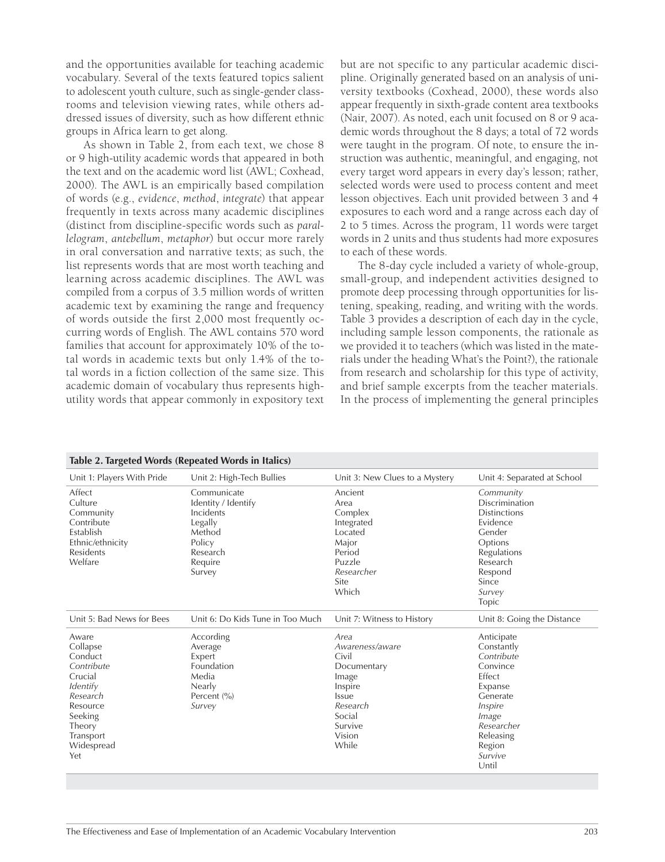and the opportunities available for teaching academic vocabulary. Several of the texts featured topics salient to adolescent youth culture, such as single-gender classrooms and television viewing rates, while others addressed issues of diversity, such as how different ethnic groups in Africa learn to get along.

As shown in Table 2, from each text, we chose 8 or 9 high-utility academic words that appeared in both the text and on the academic word list (AWL; Coxhead, 2000). The AWL is an empirically based compilation of words (e.g., *evidence*, *method*, *integrate*) that appear frequently in texts across many academic disciplines (distinct from discipline-specific words such as *parallelogram*, *antebellum*, *metaphor*) but occur more rarely in oral conversation and narrative texts; as such, the list represents words that are most worth teaching and learning across academic disciplines. The AWL was compiled from a corpus of 3.5 million words of written academic text by examining the range and frequency of words outside the first 2,000 most frequently occurring words of English. The AWL contains 570 word families that account for approximately 10% of the total words in academic texts but only 1.4% of the total words in a fiction collection of the same size. This academic domain of vocabulary thus represents highutility words that appear commonly in expository text

but are not specific to any particular academic discipline. Originally generated based on an analysis of university textbooks (Coxhead, 2000), these words also appear frequently in sixth-grade content area textbooks (Nair, 2007). As noted, each unit focused on 8 or 9 academic words throughout the 8 days; a total of 72 words were taught in the program. Of note, to ensure the instruction was authentic, meaningful, and engaging, not every target word appears in every day's lesson; rather, selected words were used to process content and meet lesson objectives. Each unit provided between 3 and 4 exposures to each word and a range across each day of 2 to 5 times. Across the program, 11 words were target words in 2 units and thus students had more exposures to each of these words.

The 8-day cycle included a variety of whole-group, small-group, and independent activities designed to promote deep processing through opportunities for listening, speaking, reading, and writing with the words. Table 3 provides a description of each day in the cycle, including sample lesson components, the rationale as we provided it to teachers (which was listed in the materials under the heading What's the Point?), the rationale from research and scholarship for this type of activity, and brief sample excerpts from the teacher materials. In the process of implementing the general principles

| Unit 1: Players With Pride | Unit 2: High-Tech Bullies        | Unit 3: New Clues to a Mystery | Unit 4: Separated at School |
|----------------------------|----------------------------------|--------------------------------|-----------------------------|
| Affect                     | Communicate                      | Ancient                        | Community                   |
| Culture                    | Identity / Identify              | Area                           | Discrimination              |
| Community                  | Incidents                        | Complex                        | <b>Distinctions</b>         |
| Contribute                 | Legally                          | Integrated                     | Evidence                    |
| Establish                  | Method                           | Located                        | Gender                      |
| Ethnic/ethnicity           | Policy                           | Major                          | Options                     |
| Residents                  | Research                         | Period                         | Regulations                 |
| Welfare                    | Require                          | Puzzle                         | Research                    |
|                            | Survey                           | Researcher                     | Respond                     |
|                            |                                  | Site                           | Since                       |
|                            |                                  | Which                          | Survey                      |
|                            |                                  |                                | Topic                       |
| Unit 5: Bad News for Bees  | Unit 6: Do Kids Tune in Too Much | Unit 7: Witness to History     | Unit 8: Going the Distance  |
| Aware                      | According                        | Area                           | Anticipate                  |
| Collapse                   | Average                          | Awareness/aware                | Constantly                  |
| Conduct                    | Expert                           | Civil                          | Contribute                  |
| Contribute                 | Foundation                       | Documentary                    | Convince                    |
| Crucial                    | Media                            | Image                          | Effect                      |
| Identify                   | Nearly                           | Inspire                        | Expanse                     |
| Research                   | Percent (%)                      | Issue                          | Generate                    |
| Resource                   | Survey                           | Research                       | Inspire                     |
| Seeking                    |                                  | Social                         | Image                       |
| Theory                     |                                  | Survive                        | Researcher                  |
| Transport                  |                                  | Vision                         | Releasing                   |
| Widespread                 |                                  | While                          | Region                      |
| Yet                        |                                  |                                | Survive                     |
|                            |                                  |                                | Until                       |

**Table 2. Targeted Words (Repeated Words in Italics)**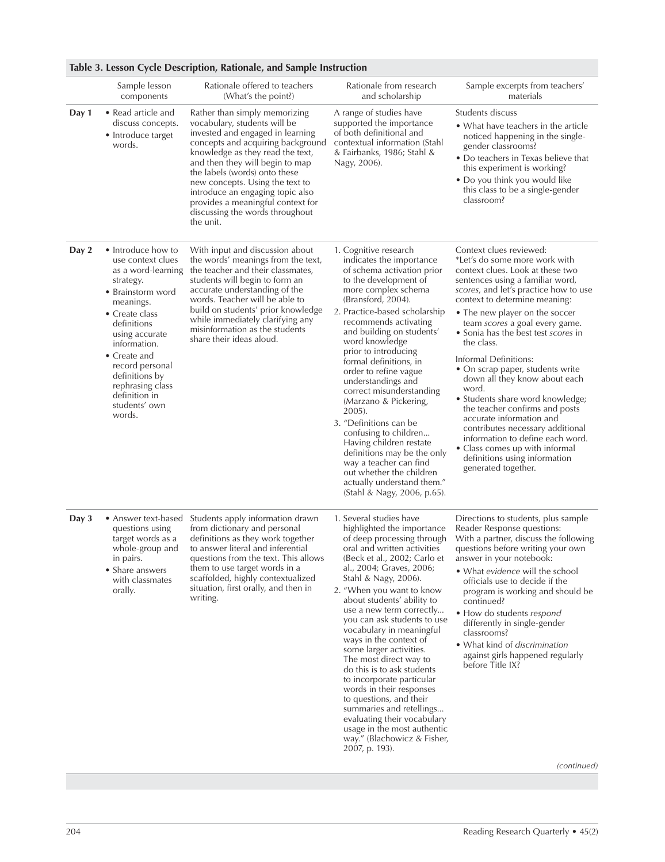|       |                                                                                                                                                                                                                                                                                                      | nasie si Eesson Cycle Description, nationale, and samp                                                                                                                                                                                                                                                                                                                                                     |                                                                                                                                                                                                                                                                                                                                                                                                                                                                                                                                                                                                                                                                                                      |                                                                                                                                                                                                                                                                                                                                                                                                                                                                                                                                                                                                                                                                                                                |
|-------|------------------------------------------------------------------------------------------------------------------------------------------------------------------------------------------------------------------------------------------------------------------------------------------------------|------------------------------------------------------------------------------------------------------------------------------------------------------------------------------------------------------------------------------------------------------------------------------------------------------------------------------------------------------------------------------------------------------------|------------------------------------------------------------------------------------------------------------------------------------------------------------------------------------------------------------------------------------------------------------------------------------------------------------------------------------------------------------------------------------------------------------------------------------------------------------------------------------------------------------------------------------------------------------------------------------------------------------------------------------------------------------------------------------------------------|----------------------------------------------------------------------------------------------------------------------------------------------------------------------------------------------------------------------------------------------------------------------------------------------------------------------------------------------------------------------------------------------------------------------------------------------------------------------------------------------------------------------------------------------------------------------------------------------------------------------------------------------------------------------------------------------------------------|
|       | Sample lesson<br>components                                                                                                                                                                                                                                                                          | Rationale offered to teachers<br>(What's the point?)                                                                                                                                                                                                                                                                                                                                                       | Rationale from research<br>and scholarship                                                                                                                                                                                                                                                                                                                                                                                                                                                                                                                                                                                                                                                           | Sample excerpts from teachers'<br>materials                                                                                                                                                                                                                                                                                                                                                                                                                                                                                                                                                                                                                                                                    |
| Day 1 | • Read article and<br>discuss concepts.<br>• Introduce target<br>words.                                                                                                                                                                                                                              | Rather than simply memorizing<br>vocabulary, students will be<br>invested and engaged in learning<br>concepts and acquiring background<br>knowledge as they read the text,<br>and then they will begin to map<br>the labels (words) onto these<br>new concepts. Using the text to<br>introduce an engaging topic also<br>provides a meaningful context for<br>discussing the words throughout<br>the unit. | A range of studies have<br>supported the importance<br>of both definitional and<br>contextual information (Stahl<br>& Fairbanks, 1986; Stahl &<br>Nagy, 2006).                                                                                                                                                                                                                                                                                                                                                                                                                                                                                                                                       | Students discuss<br>• What have teachers in the article<br>noticed happening in the single-<br>gender classrooms?<br>• Do teachers in Texas believe that<br>this experiment is working?<br>• Do you think you would like<br>this class to be a single-gender<br>classroom?                                                                                                                                                                                                                                                                                                                                                                                                                                     |
| Day 2 | • Introduce how to<br>use context clues<br>as a word-learning<br>strategy.<br>• Brainstorm word<br>meanings.<br>• Create class<br>definitions<br>using accurate<br>information.<br>• Create and<br>record personal<br>definitions by<br>rephrasing class<br>definition in<br>students' own<br>words. | With input and discussion about<br>the words' meanings from the text,<br>the teacher and their classmates,<br>students will begin to form an<br>accurate understanding of the<br>words. Teacher will be able to<br>build on students' prior knowledge<br>while immediately clarifying any<br>misinformation as the students<br>share their ideas aloud.                                                    | 1. Cognitive research<br>indicates the importance<br>of schema activation prior<br>to the development of<br>more complex schema<br>(Bransford, 2004).<br>2. Practice-based scholarship<br>recommends activating<br>and building on students'<br>word knowledge<br>prior to introducing<br>formal definitions, in<br>order to refine vague<br>understandings and<br>correct misunderstanding<br>(Marzano & Pickering,<br>2005).<br>3. "Definitions can be<br>confusing to children<br>Having children restate<br>definitions may be the only<br>way a teacher can find<br>out whether the children<br>actually understand them."<br>(Stahl & Nagy, 2006, p.65).                                       | Context clues reviewed:<br>*Let's do some more work with<br>context clues. Look at these two<br>sentences using a familiar word,<br>scores, and let's practice how to use<br>context to determine meaning:<br>• The new player on the soccer<br>team scores a goal every game.<br>• Sonia has the best test scores in<br>the class.<br>Informal Definitions:<br>• On scrap paper, students write<br>down all they know about each<br>word.<br>• Students share word knowledge;<br>the teacher confirms and posts<br>accurate information and<br>contributes necessary additional<br>information to define each word.<br>• Class comes up with informal<br>definitions using information<br>generated together. |
| Day 3 | • Answer text-based<br>questions using<br>target words as a<br>whole-group and<br>in pairs.<br>• Share answers<br>with classmates<br>orally.                                                                                                                                                         | Students apply information drawn<br>from dictionary and personal<br>definitions as they work together<br>to answer literal and inferential<br>questions from the text. This allows<br>them to use target words in a<br>scaffolded, highly contextualized<br>situation, first orally, and then in<br>writing.                                                                                               | 1. Several studies have<br>highlighted the importance<br>of deep processing through<br>oral and written activities<br>(Beck et al., 2002; Carlo et<br>al., 2004; Graves, 2006;<br>Stahl & Nagy, 2006).<br>2. "When you want to know<br>about students' ability to<br>use a new term correctly<br>you can ask students to use<br>vocabulary in meaningful<br>ways in the context of<br>some larger activities.<br>The most direct way to<br>do this is to ask students<br>to incorporate particular<br>words in their responses<br>to questions, and their<br>summaries and retellings<br>evaluating their vocabulary<br>usage in the most authentic<br>way." (Blachowicz & Fisher,<br>2007, p. 193). | Directions to students, plus sample<br>Reader Response questions:<br>With a partner, discuss the following<br>questions before writing your own<br>answer in your notebook:<br>• What evidence will the school<br>officials use to decide if the<br>program is working and should be<br>continued?<br>• How do students respond<br>differently in single-gender<br>classrooms?<br>• What kind of discrimination<br>against girls happened regularly<br>before Title IX?                                                                                                                                                                                                                                        |
|       |                                                                                                                                                                                                                                                                                                      |                                                                                                                                                                                                                                                                                                                                                                                                            |                                                                                                                                                                                                                                                                                                                                                                                                                                                                                                                                                                                                                                                                                                      |                                                                                                                                                                                                                                                                                                                                                                                                                                                                                                                                                                                                                                                                                                                |

#### **Table 3. Lesson Cycle Description, Rationale, and Sample Instruction**

*(continued)*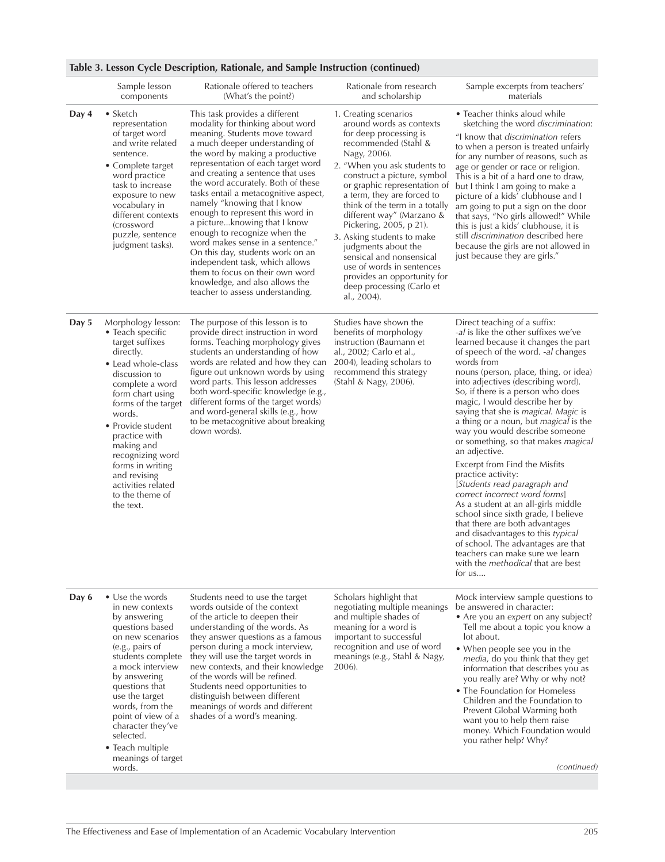#### **Table 3. Lesson Cycle Description, Rationale, and Sample Instruction (continued)**

|       | Sample lesson<br>components                                                                                                                                                                                                                                                                                                                             | Rationale offered to teachers<br>(What's the point?)                                                                                                                                                                                                                                                                                                                                                                                                                                                                                                                                                                                                                                    | Rationale from research<br>and scholarship                                                                                                                                                                                                                                                                                                                                                                                                                                                                                          | Sample excerpts from teachers'<br>materials                                                                                                                                                                                                                                                                                                                                                                                                                                                                                                                                                                                                                                                                                                                                                                                                                                                                         |
|-------|---------------------------------------------------------------------------------------------------------------------------------------------------------------------------------------------------------------------------------------------------------------------------------------------------------------------------------------------------------|-----------------------------------------------------------------------------------------------------------------------------------------------------------------------------------------------------------------------------------------------------------------------------------------------------------------------------------------------------------------------------------------------------------------------------------------------------------------------------------------------------------------------------------------------------------------------------------------------------------------------------------------------------------------------------------------|-------------------------------------------------------------------------------------------------------------------------------------------------------------------------------------------------------------------------------------------------------------------------------------------------------------------------------------------------------------------------------------------------------------------------------------------------------------------------------------------------------------------------------------|---------------------------------------------------------------------------------------------------------------------------------------------------------------------------------------------------------------------------------------------------------------------------------------------------------------------------------------------------------------------------------------------------------------------------------------------------------------------------------------------------------------------------------------------------------------------------------------------------------------------------------------------------------------------------------------------------------------------------------------------------------------------------------------------------------------------------------------------------------------------------------------------------------------------|
| Day 4 | $\bullet$ Sketch<br>representation<br>of target word<br>and write related<br>sentence.<br>• Complete target<br>word practice<br>task to increase<br>exposure to new<br>vocabulary in<br>different contexts<br>(crossword<br>puzzle, sentence<br>judgment tasks).                                                                                        | This task provides a different<br>modality for thinking about word<br>meaning. Students move toward<br>a much deeper understanding of<br>the word by making a productive<br>representation of each target word<br>and creating a sentence that uses<br>the word accurately. Both of these<br>tasks entail a metacognitive aspect,<br>namely "knowing that I know<br>enough to represent this word in<br>a pictureknowing that I know<br>enough to recognize when the<br>word makes sense in a sentence."<br>On this day, students work on an<br>independent task, which allows<br>them to focus on their own word<br>knowledge, and also allows the<br>teacher to assess understanding. | 1. Creating scenarios<br>around words as contexts<br>for deep processing is<br>recommended (Stahl &<br>Nagy, 2006).<br>2. "When you ask students to<br>construct a picture, symbol<br>or graphic representation of<br>a term, they are forced to<br>think of the term in a totally<br>different way" (Marzano &<br>Pickering, 2005, p 21).<br>3. Asking students to make<br>judgments about the<br>sensical and nonsensical<br>use of words in sentences<br>provides an opportunity for<br>deep processing (Carlo et<br>al., 2004). | • Teacher thinks aloud while<br>sketching the word discrimination:<br>"I know that discrimination refers<br>to when a person is treated unfairly<br>for any number of reasons, such as<br>age or gender or race or religion.<br>This is a bit of a hard one to draw,<br>but I think I am going to make a<br>picture of a kids' clubhouse and I<br>am going to put a sign on the door<br>that says, "No girls allowed!" While<br>this is just a kids' clubhouse, it is<br>still <i>discrimination</i> described here<br>because the girls are not allowed in<br>just because they are girls."                                                                                                                                                                                                                                                                                                                        |
| Day 5 | Morphology lesson:<br>• Teach specific<br>target suffixes<br>directly.<br>• Lead whole-class<br>discussion to<br>complete a word<br>form chart using<br>forms of the target<br>words.<br>• Provide student<br>practice with<br>making and<br>recognizing word<br>forms in writing<br>and revising<br>activities related<br>to the theme of<br>the text. | The purpose of this lesson is to<br>provide direct instruction in word<br>forms. Teaching morphology gives<br>students an understanding of how<br>words are related and how they can<br>figure out unknown words by using<br>word parts. This lesson addresses<br>both word-specific knowledge (e.g.,<br>different forms of the target words)<br>and word-general skills (e.g., how<br>to be metacognitive about breaking<br>down words).                                                                                                                                                                                                                                               | Studies have shown the<br>benefits of morphology<br>instruction (Baumann et<br>al., 2002; Carlo et al.,<br>2004), leading scholars to<br>recommend this strategy<br>(Stahl & Nagy, 2006).                                                                                                                                                                                                                                                                                                                                           | Direct teaching of a suffix:<br>-al is like the other suffixes we've<br>learned because it changes the part<br>of speech of the word. -al changes<br>words from<br>nouns (person, place, thing, or idea)<br>into adjectives (describing word).<br>So, if there is a person who does<br>magic, I would describe her by<br>saying that she is magical. Magic is<br>a thing or a noun, but <i>magical</i> is the<br>way you would describe someone<br>or something, so that makes magical<br>an adjective.<br>Excerpt from Find the Misfits<br>practice activity:<br>[Students read paragraph and<br>correct incorrect word forms]<br>As a student at an all-girls middle<br>school since sixth grade, I believe<br>that there are both advantages<br>and disadvantages to this typical<br>of school. The advantages are that<br>teachers can make sure we learn<br>with the <i>methodical</i> that are best<br>for us |
| Day 6 | • Use the words<br>in new contexts<br>by answering<br>questions based<br>on new scenarios<br>(e.g., pairs of<br>students complete<br>a mock interview<br>by answering<br>questions that<br>use the target<br>words, from the<br>point of view of a<br>character they've<br>selected.<br>• Teach multiple<br>meanings of target<br>words.                | Students need to use the target<br>words outside of the context<br>of the article to deepen their<br>understanding of the words. As<br>they answer questions as a famous<br>person during a mock interview,<br>they will use the target words in<br>new contexts, and their knowledge<br>of the words will be refined.<br>Students need opportunities to<br>distinguish between different<br>meanings of words and different<br>shades of a word's meaning.                                                                                                                                                                                                                             | Scholars highlight that<br>negotiating multiple meanings<br>and multiple shades of<br>meaning for a word is<br>important to successful<br>recognition and use of word<br>meanings (e.g., Stahl & Nagy,<br>2006).                                                                                                                                                                                                                                                                                                                    | Mock interview sample questions to<br>be answered in character:<br>• Are you an expert on any subject?<br>Tell me about a topic you know a<br>lot about.<br>• When people see you in the<br>media, do you think that they get<br>information that describes you as<br>you really are? Why or why not?<br>• The Foundation for Homeless<br>Children and the Foundation to<br>Prevent Global Warming both<br>want you to help them raise<br>money. Which Foundation would<br>you rather help? Why?<br>(continued)                                                                                                                                                                                                                                                                                                                                                                                                     |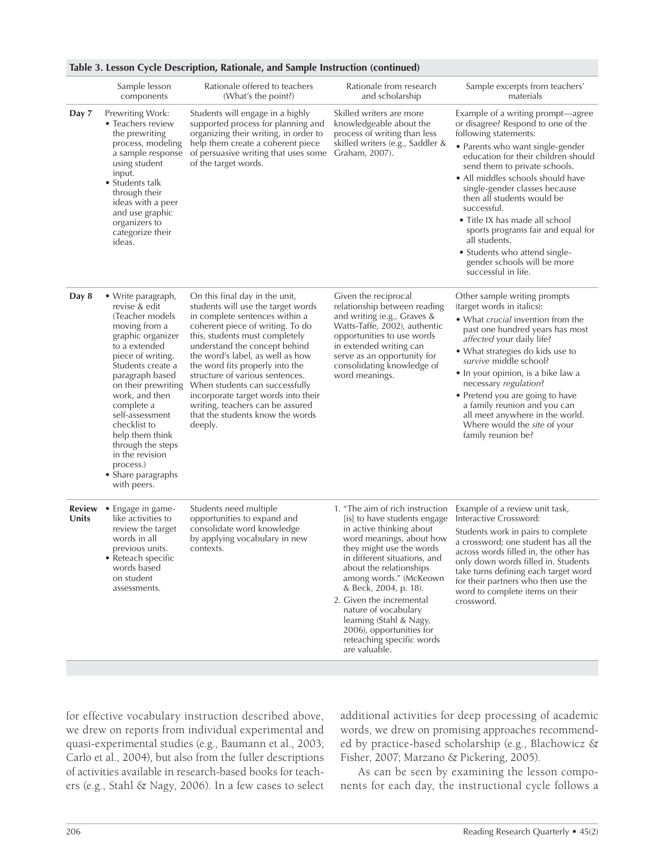|  |  |  | Table 3. Lesson Cycle Description, Rationale, and Sample Instruction (continued) |
|--|--|--|----------------------------------------------------------------------------------|
|--|--|--|----------------------------------------------------------------------------------|

|                        | Sample lesson<br>components                                                                                                                                                                                                                                                                                                                                                       | Rationale offered to teachers<br>(What's the point?)                                                                                                                                                                                                                                                                                                                                                                                                                                | Rationale from research<br>and scholarship                                                                                                                                                                                                                                                                                                                                                                                 | Sample excerpts from teachers'<br>materials                                                                                                                                                                                                                                                                                                                                                                                                                                                                     |
|------------------------|-----------------------------------------------------------------------------------------------------------------------------------------------------------------------------------------------------------------------------------------------------------------------------------------------------------------------------------------------------------------------------------|-------------------------------------------------------------------------------------------------------------------------------------------------------------------------------------------------------------------------------------------------------------------------------------------------------------------------------------------------------------------------------------------------------------------------------------------------------------------------------------|----------------------------------------------------------------------------------------------------------------------------------------------------------------------------------------------------------------------------------------------------------------------------------------------------------------------------------------------------------------------------------------------------------------------------|-----------------------------------------------------------------------------------------------------------------------------------------------------------------------------------------------------------------------------------------------------------------------------------------------------------------------------------------------------------------------------------------------------------------------------------------------------------------------------------------------------------------|
| Day 7                  | Prewriting Work:<br>• Teachers review<br>the prewriting<br>process, modeling<br>a sample response<br>using student<br>input.<br>• Students talk<br>through their<br>ideas with a peer<br>and use graphic<br>organizers to<br>categorize their<br>ideas.                                                                                                                           | Students will engage in a highly<br>supported process for planning and<br>organizing their writing, in order to<br>help them create a coherent piece<br>of persuasive writing that uses some<br>of the target words.                                                                                                                                                                                                                                                                | Skilled writers are more<br>knowledgeable about the<br>process of writing than less<br>skilled writers (e.g., Saddler &<br>Graham, 2007).                                                                                                                                                                                                                                                                                  | Example of a writing prompt-agree<br>or disagree? Respond to one of the<br>following statements:<br>• Parents who want single-gender<br>education for their children should<br>send them to private schools.<br>• All middles schools should have<br>single-gender classes because<br>then all students would be<br>successful.<br>• Title IX has made all school<br>sports programs fair and equal for<br>all students.<br>• Students who attend single-<br>gender schools will be more<br>successful in life. |
| Day 8                  | • Write paragraph,<br>revise & edit<br>(Teacher models<br>moving from a<br>graphic organizer<br>to a extended<br>piece of writing.<br>Students create a<br>paragraph based<br>on their prewriting<br>work, and then<br>complete a<br>self-assessment<br>checklist to<br>help them think<br>through the steps<br>in the revision<br>process.)<br>• Share paragraphs<br>with peers. | On this final day in the unit,<br>students will use the target words<br>in complete sentences within a<br>coherent piece of writing. To do<br>this, students must completely<br>understand the concept behind<br>the word's label, as well as how<br>the word fits properly into the<br>structure of various sentences.<br>When students can successfully<br>incorporate target words into their<br>writing, teachers can be assured<br>that the students know the words<br>deeply. | Given the reciprocal<br>relationship between reading<br>and writing (e.g., Graves &<br>Watts-Taffe, 2002), authentic<br>opportunities to use words<br>in extended writing can<br>serve as an opportunity for<br>consolidating knowledge of<br>word meanings.                                                                                                                                                               | Other sample writing prompts<br>(target words in italics):<br>• What crucial invention from the<br>past one hundred years has most<br>affected your daily life?<br>• What strategies do kids use to<br>survive middle school?<br>• In your opinion, is a bike law a<br>necessary regulation?<br>• Pretend you are going to have<br>a family reunion and you can<br>all meet anywhere in the world.<br>Where would the site of your<br>family reunion be?                                                        |
| <b>Review</b><br>Units | • Engage in game-<br>like activities to<br>review the target<br>words in all<br>previous units.<br>• Reteach specific<br>words based<br>on student<br>assessments.                                                                                                                                                                                                                | Students need multiple<br>opportunities to expand and<br>consolidate word knowledge<br>by applying vocabulary in new<br>contexts.                                                                                                                                                                                                                                                                                                                                                   | 1. "The aim of rich instruction<br>[is] to have students engage<br>in active thinking about<br>word meanings, about how<br>they might use the words<br>in different situations, and<br>about the relationships<br>among words." (McKeown<br>& Beck, 2004, p. 18).<br>2. Given the incremental<br>nature of vocabulary<br>learning (Stahl & Nagy,<br>2006), opportunities for<br>reteaching specific words<br>are valuable. | Example of a review unit task,<br>Interactive Crossword:<br>Students work in pairs to complete<br>a crossword; one student has all the<br>across words filled in, the other has<br>only down words filled in. Students<br>take turns defining each target word<br>for their partners who then use the<br>word to complete items on their<br>crossword.                                                                                                                                                          |

for effective vocabulary instruction described above, we drew on reports from individual experimental and quasi-experimental studies (e.g., Baumann et al., 2003; Carlo et al., 2004), but also from the fuller descriptions of activities available in research-based books for teachers (e.g., Stahl & Nagy, 2006). In a few cases to select

additional activities for deep processing of academic words, we drew on promising approaches recommended by practice-based scholarship (e.g., Blachowicz & Fisher, 2007; Marzano & Pickering, 2005).

As can be seen by examining the lesson components for each day, the instructional cycle follows a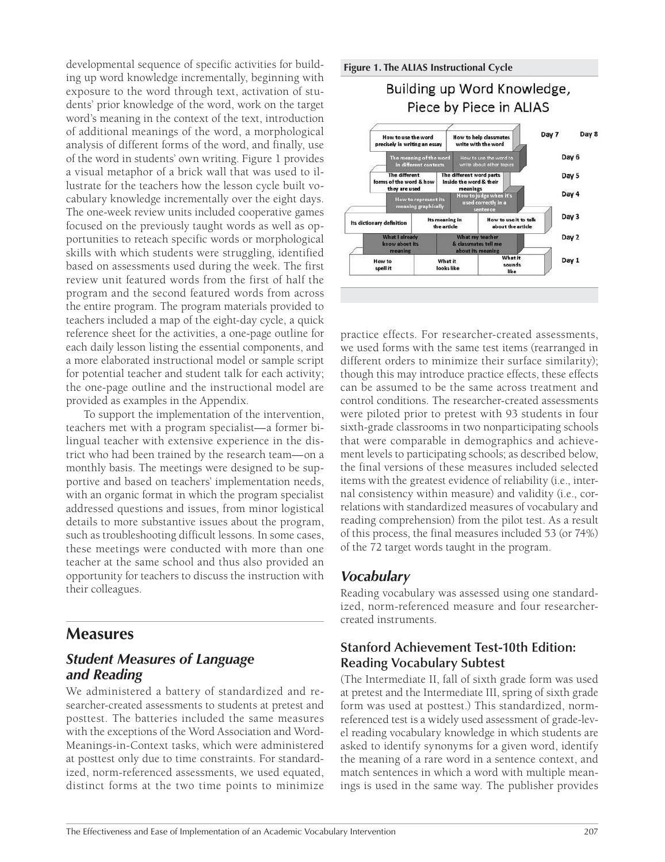developmental sequence of specific activities for building up word knowledge incrementally, beginning with exposure to the word through text, activation of students' prior knowledge of the word, work on the target word's meaning in the context of the text, introduction of additional meanings of the word, a morphological analysis of different forms of the word, and finally, use of the word in students' own writing. Figure 1 provides a visual metaphor of a brick wall that was used to illustrate for the teachers how the lesson cycle built vocabulary knowledge incrementally over the eight days. The one-week review units included cooperative games focused on the previously taught words as well as opportunities to reteach specific words or morphological skills with which students were struggling, identified based on assessments used during the week. The first review unit featured words from the first of half the program and the second featured words from across the entire program. The program materials provided to teachers included a map of the eight-day cycle, a quick reference sheet for the activities, a one-page outline for each daily lesson listing the essential components, and a more elaborated instructional model or sample script for potential teacher and student talk for each activity; the one-page outline and the instructional model are provided as examples in the Appendix.

To support the implementation of the intervention, teachers met with a program specialist—a former bilingual teacher with extensive experience in the district who had been trained by the research team—on a monthly basis. The meetings were designed to be supportive and based on teachers' implementation needs, with an organic format in which the program specialist addressed questions and issues, from minor logistical details to more substantive issues about the program, such as troubleshooting difficult lessons. In some cases, these meetings were conducted with more than one teacher at the same school and thus also provided an opportunity for teachers to discuss the instruction with their colleagues.

#### **Measures**

## *Student Measures of Language and Reading*

We administered a battery of standardized and researcher-created assessments to students at pretest and posttest. The batteries included the same measures with the exceptions of the Word Association and Word-Meanings-in-Context tasks, which were administered at posttest only due to time constraints. For standardized, norm-referenced assessments, we used equated, distinct forms at the two time points to minimize

#### **Figure 1. The ALIAS Instructional Cycle**

#### Building up Word Knowledge, Piece by Piece in ALIAS



practice effects. For researcher-created assessments, we used forms with the same test items (rearranged in different orders to minimize their surface similarity); though this may introduce practice effects, these effects can be assumed to be the same across treatment and control conditions. The researcher-created assessments were piloted prior to pretest with 93 students in four sixth-grade classrooms in two nonparticipating schools that were comparable in demographics and achievement levels to participating schools; as described below, the final versions of these measures included selected items with the greatest evidence of reliability (i.e., internal consistency within measure) and validity (i.e., correlations with standardized measures of vocabulary and reading comprehension) from the pilot test. As a result of this process, the final measures included 53 (or 74%) of the 72 target words taught in the program.

#### *Vocabulary*

Reading vocabulary was assessed using one standardized, norm-referenced measure and four researchercreated instruments.

#### **Stanford Achievement Test-10th Edition: Reading Vocabulary Subtest**

(The Intermediate II, fall of sixth grade form was used at pretest and the Intermediate III, spring of sixth grade form was used at posttest.) This standardized, normreferenced test is a widely used assessment of grade-level reading vocabulary knowledge in which students are asked to identify synonyms for a given word, identify the meaning of a rare word in a sentence context, and match sentences in which a word with multiple meanings is used in the same way. The publisher provides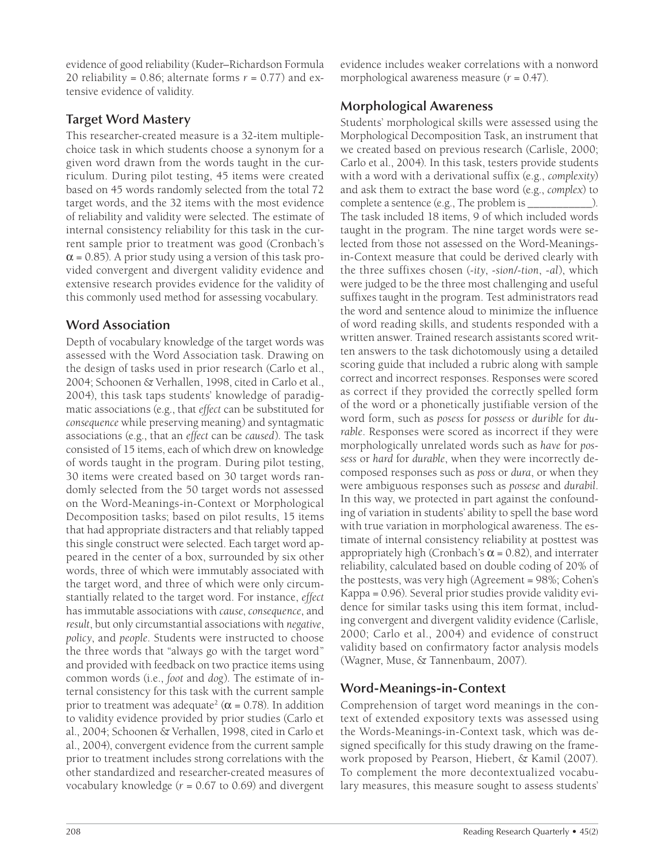evidence of good reliability (Kuder–Richardson Formula 20 reliability =  $0.86$ ; alternate forms  $r = 0.77$ ) and extensive evidence of validity.

## **Target Word Mastery**

This researcher-created measure is a 32-item multiplechoice task in which students choose a synonym for a given word drawn from the words taught in the curriculum. During pilot testing, 45 items were created based on 45 words randomly selected from the total 72 target words, and the 32 items with the most evidence of reliability and validity were selected. The estimate of internal consistency reliability for this task in the current sample prior to treatment was good (Cronbach's  $\alpha$  = 0.85). A prior study using a version of this task provided convergent and divergent validity evidence and extensive research provides evidence for the validity of this commonly used method for assessing vocabulary.

#### **Word Association**

Depth of vocabulary knowledge of the target words was assessed with the Word Association task. Drawing on the design of tasks used in prior research (Carlo et al., 2004; Schoonen & Verhallen, 1998, cited in Carlo et al., 2004), this task taps students' knowledge of paradigmatic associations (e.g., that *effect* can be substituted for *consequence* while preserving meaning) and syntagmatic associations (e.g., that an *effect* can be *caused*). The task consisted of 15 items, each of which drew on knowledge of words taught in the program. During pilot testing, 30 items were created based on 30 target words randomly selected from the 50 target words not assessed on the Word-Meanings-in-Context or Morphological Decomposition tasks; based on pilot results, 15 items that had appropriate distracters and that reliably tapped this single construct were selected. Each target word appeared in the center of a box, surrounded by six other words, three of which were immutably associated with the target word, and three of which were only circumstantially related to the target word. For instance, *effect* has immutable associations with *cause*, *consequence*, and *result*, but only circumstantial associations with *negative*, *policy*, and *people*. Students were instructed to choose the three words that "always go with the target word" and provided with feedback on two practice items using common words (i.e., *foot* and *dog*). The estimate of internal consistency for this task with the current sample prior to treatment was adequate<sup>2</sup> ( $\alpha$  = 0.78). In addition to validity evidence provided by prior studies (Carlo et al., 2004; Schoonen & Verhallen, 1998, cited in Carlo et al., 2004), convergent evidence from the current sample prior to treatment includes strong correlations with the other standardized and researcher-created measures of vocabulary knowledge (*r* = 0.67 to 0.69) and divergent

evidence includes weaker correlations with a nonword morphological awareness measure (*r* = 0.47).

### **Morphological Awareness**

Students' morphological skills were assessed using the Morphological Decomposition Task, an instrument that we created based on previous research (Carlisle, 2000; Carlo et al., 2004). In this task, testers provide students with a word with a derivational suffix (e.g., *complexity*) and ask them to extract the base word (e.g., *complex*) to complete a sentence (e.g., The problem is \_\_\_\_\_\_\_\_\_\_\_). The task included 18 items, 9 of which included words taught in the program. The nine target words were selected from those not assessed on the Word-Meaningsin-Context measure that could be derived clearly with the three suffixes chosen (*-ity*, *-sion/-tion*, -*al*), which were judged to be the three most challenging and useful suffixes taught in the program. Test administrators read the word and sentence aloud to minimize the influence of word reading skills, and students responded with a written answer. Trained research assistants scored written answers to the task dichotomously using a detailed scoring guide that included a rubric along with sample correct and incorrect responses. Responses were scored as correct if they provided the correctly spelled form of the word or a phonetically justifiable version of the word form, such as *posess* for *possess* or *durible* for *durable*. Responses were scored as incorrect if they were morphologically unrelated words such as *have* for *possess* or *hard* for *durable*, when they were incorrectly decomposed responses such as *poss* or *dura*, or when they were ambiguous responses such as *possese* and *durabil*. In this way, we protected in part against the confounding of variation in students' ability to spell the base word with true variation in morphological awareness. The estimate of internal consistency reliability at posttest was appropriately high (Cronbach's  $\alpha$  = 0.82), and interrater reliability, calculated based on double coding of 20% of the posttests, was very high (Agreement = 98%; Cohen's Kappa = 0.96). Several prior studies provide validity evidence for similar tasks using this item format, including convergent and divergent validity evidence (Carlisle, 2000; Carlo et al., 2004) and evidence of construct validity based on confirmatory factor analysis models (Wagner, Muse, & Tannenbaum, 2007).

#### **Word-Meanings-in-Context**

Comprehension of target word meanings in the context of extended expository texts was assessed using the Words-Meanings-in-Context task, which was designed specifically for this study drawing on the framework proposed by Pearson, Hiebert, & Kamil (2007). To complement the more decontextualized vocabulary measures, this measure sought to assess students'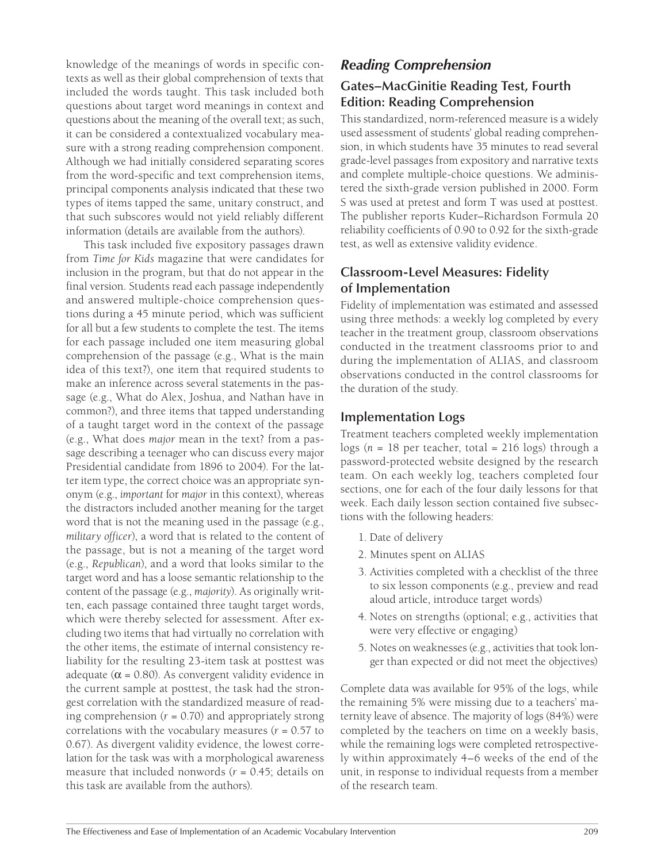knowledge of the meanings of words in specific contexts as well as their global comprehension of texts that included the words taught. This task included both questions about target word meanings in context and questions about the meaning of the overall text; as such, it can be considered a contextualized vocabulary measure with a strong reading comprehension component. Although we had initially considered separating scores from the word-specific and text comprehension items, principal components analysis indicated that these two types of items tapped the same, unitary construct, and that such subscores would not yield reliably different information (details are available from the authors).

This task included five expository passages drawn from *Time for Kids* magazine that were candidates for inclusion in the program, but that do not appear in the final version. Students read each passage independently and answered multiple-choice comprehension questions during a 45 minute period, which was sufficient for all but a few students to complete the test. The items for each passage included one item measuring global comprehension of the passage (e.g., What is the main idea of this text?), one item that required students to make an inference across several statements in the passage (e.g., What do Alex, Joshua, and Nathan have in common?), and three items that tapped understanding of a taught target word in the context of the passage (e.g., What does *major* mean in the text? from a passage describing a teenager who can discuss every major Presidential candidate from 1896 to 2004). For the latter item type, the correct choice was an appropriate synonym (e.g., *important* for *major* in this context), whereas the distractors included another meaning for the target word that is not the meaning used in the passage (e.g., *military officer*), a word that is related to the content of the passage, but is not a meaning of the target word (e.g., *Republican*), and a word that looks similar to the target word and has a loose semantic relationship to the content of the passage (e.g., *majority*). As originally written, each passage contained three taught target words, which were thereby selected for assessment. After excluding two items that had virtually no correlation with the other items, the estimate of internal consistency reliability for the resulting 23-item task at posttest was adequate ( $\alpha$  = 0.80). As convergent validity evidence in the current sample at posttest, the task had the strongest correlation with the standardized measure of reading comprehension (*r* = 0.70) and appropriately strong correlations with the vocabulary measures (*r* = 0.57 to 0.67). As divergent validity evidence, the lowest correlation for the task was with a morphological awareness measure that included nonwords  $(r = 0.45;$  details on this task are available from the authors).

#### **Gates–MacGinitie Reading Test, Fourth Edition: Reading Comprehension**

This standardized, norm-referenced measure is a widely used assessment of students' global reading comprehension, in which students have 35 minutes to read several grade-level passages from expository and narrative texts and complete multiple-choice questions. We administered the sixth-grade version published in 2000. Form S was used at pretest and form T was used at posttest. The publisher reports Kuder–Richardson Formula 20 reliability coefficients of 0.90 to 0.92 for the sixth-grade test, as well as extensive validity evidence.

#### **Classroom-Level Measures: Fidelity of Implementation**

Fidelity of implementation was estimated and assessed using three methods: a weekly log completed by every teacher in the treatment group, classroom observations conducted in the treatment classrooms prior to and during the implementation of ALIAS, and classroom observations conducted in the control classrooms for the duration of the study.

#### **Implementation Logs**

Treatment teachers completed weekly implementation logs ( $n = 18$  per teacher, total = 216 logs) through a password-protected website designed by the research team. On each weekly log, teachers completed four sections, one for each of the four daily lessons for that week. Each daily lesson section contained five subsections with the following headers:

- 1. Date of delivery
- 2. Minutes spent on ALIAS
- 3. Activities completed with a checklist of the three to six lesson components (e.g., preview and read aloud article, introduce target words)
- 4. Notes on strengths (optional; e.g., activities that were very effective or engaging)
- 5. Notes on weaknesses (e.g., activities that took longer than expected or did not meet the objectives)

Complete data was available for 95% of the logs, while the remaining 5% were missing due to a teachers' maternity leave of absence. The majority of logs (84%) were completed by the teachers on time on a weekly basis, while the remaining logs were completed retrospectively within approximately 4–6 weeks of the end of the unit, in response to individual requests from a member of the research team.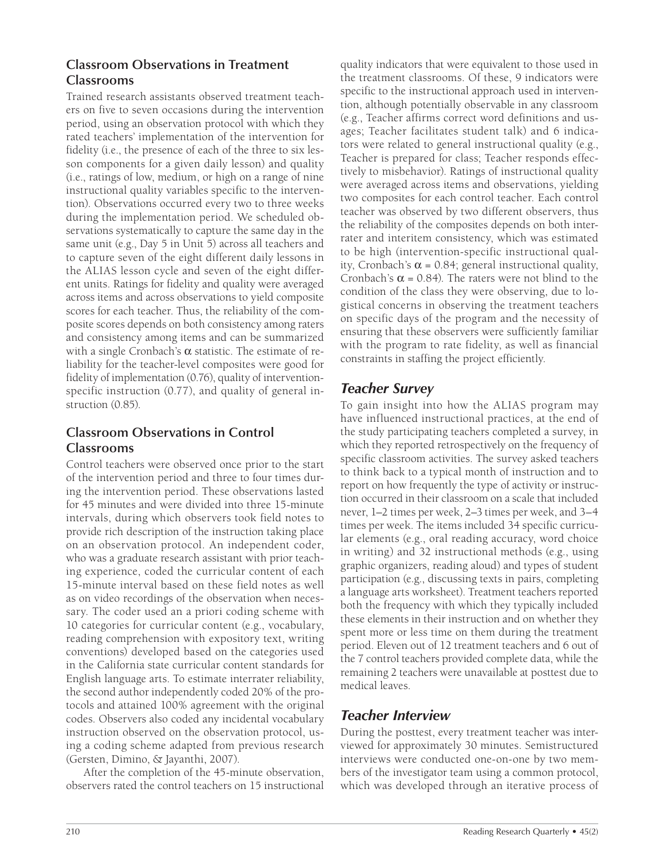#### **Classroom Observations in Treatment Classrooms**

Trained research assistants observed treatment teachers on five to seven occasions during the intervention period, using an observation protocol with which they rated teachers' implementation of the intervention for fidelity (i.e., the presence of each of the three to six lesson components for a given daily lesson) and quality (i.e., ratings of low, medium, or high on a range of nine instructional quality variables specific to the intervention). Observations occurred every two to three weeks during the implementation period. We scheduled observations systematically to capture the same day in the same unit (e.g., Day 5 in Unit 5) across all teachers and to capture seven of the eight different daily lessons in the ALIAS lesson cycle and seven of the eight different units. Ratings for fidelity and quality were averaged across items and across observations to yield composite scores for each teacher. Thus, the reliability of the composite scores depends on both consistency among raters and consistency among items and can be summarized with a single Cronbach's  $\alpha$  statistic. The estimate of reliability for the teacher-level composites were good for fidelity of implementation (0.76), quality of interventionspecific instruction (0.77), and quality of general instruction (0.85).

## **Classroom Observations in Control Classrooms**

Control teachers were observed once prior to the start of the intervention period and three to four times during the intervention period. These observations lasted for 45 minutes and were divided into three 15-minute intervals, during which observers took field notes to provide rich description of the instruction taking place on an observation protocol. An independent coder, who was a graduate research assistant with prior teaching experience, coded the curricular content of each 15-minute interval based on these field notes as well as on video recordings of the observation when necessary. The coder used an a priori coding scheme with 10 categories for curricular content (e.g., vocabulary, reading comprehension with expository text, writing conventions) developed based on the categories used in the California state curricular content standards for English language arts. To estimate interrater reliability, the second author independently coded 20% of the protocols and attained 100% agreement with the original codes. Observers also coded any incidental vocabulary instruction observed on the observation protocol, using a coding scheme adapted from previous research (Gersten, Dimino, & Jayanthi, 2007).

After the completion of the 45-minute observation, observers rated the control teachers on 15 instructional quality indicators that were equivalent to those used in the treatment classrooms. Of these, 9 indicators were specific to the instructional approach used in intervention, although potentially observable in any classroom (e.g., Teacher affirms correct word definitions and usages; Teacher facilitates student talk) and 6 indicators were related to general instructional quality (e.g., Teacher is prepared for class; Teacher responds effectively to misbehavior). Ratings of instructional quality were averaged across items and observations, yielding two composites for each control teacher. Each control teacher was observed by two different observers, thus the reliability of the composites depends on both interrater and interitem consistency, which was estimated to be high (intervention-specific instructional quality, Cronbach's  $\alpha$  = 0.84; general instructional quality, Cronbach's  $\alpha$  = 0.84). The raters were not blind to the condition of the class they were observing, due to logistical concerns in observing the treatment teachers on specific days of the program and the necessity of ensuring that these observers were sufficiently familiar with the program to rate fidelity, as well as financial constraints in staffing the project efficiently.

# *Teacher Survey*

To gain insight into how the ALIAS program may have influenced instructional practices, at the end of the study participating teachers completed a survey, in which they reported retrospectively on the frequency of specific classroom activities. The survey asked teachers to think back to a typical month of instruction and to report on how frequently the type of activity or instruction occurred in their classroom on a scale that included never, 1–2 times per week, 2–3 times per week, and 3–4 times per week. The items included 34 specific curricular elements (e.g., oral reading accuracy, word choice in writing) and 32 instructional methods (e.g., using graphic organizers, reading aloud) and types of student participation (e.g., discussing texts in pairs, completing a language arts worksheet). Treatment teachers reported both the frequency with which they typically included these elements in their instruction and on whether they spent more or less time on them during the treatment period. Eleven out of 12 treatment teachers and 6 out of the 7 control teachers provided complete data, while the remaining 2 teachers were unavailable at posttest due to medical leaves.

# *Teacher Interview*

During the posttest, every treatment teacher was interviewed for approximately 30 minutes. Semistructured interviews were conducted one-on-one by two members of the investigator team using a common protocol, which was developed through an iterative process of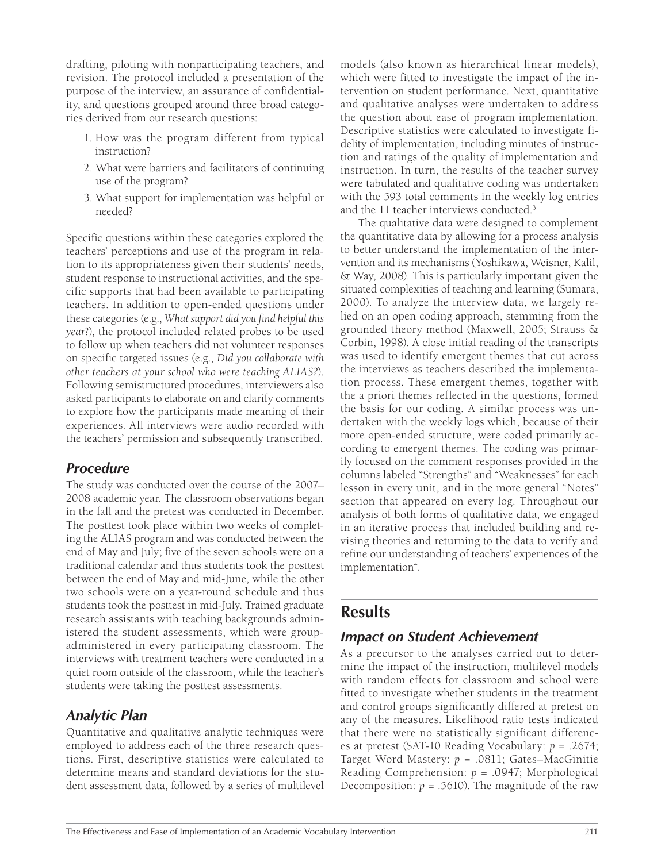drafting, piloting with nonparticipating teachers, and revision. The protocol included a presentation of the purpose of the interview, an assurance of confidentiality, and questions grouped around three broad categories derived from our research questions:

- 1. How was the program different from typical instruction?
- 2. What were barriers and facilitators of continuing use of the program?
- 3. What support for implementation was helpful or needed?

Specific questions within these categories explored the teachers' perceptions and use of the program in relation to its appropriateness given their students' needs, student response to instructional activities, and the specific supports that had been available to participating teachers. In addition to open-ended questions under these categories (e.g., *What support did you find helpful this year*?), the protocol included related probes to be used to follow up when teachers did not volunteer responses on specific targeted issues (e.g., *Did you collaborate with other teachers at your school who were teaching ALIAS?*). Following semistructured procedures, interviewers also asked participants to elaborate on and clarify comments to explore how the participants made meaning of their experiences. All interviews were audio recorded with the teachers' permission and subsequently transcribed.

#### *Procedure*

The study was conducted over the course of the 2007– 2008 academic year. The classroom observations began in the fall and the pretest was conducted in December. The posttest took place within two weeks of completing the ALIAS program and was conducted between the end of May and July; five of the seven schools were on a traditional calendar and thus students took the posttest between the end of May and mid-June, while the other two schools were on a year-round schedule and thus students took the posttest in mid-July. Trained graduate research assistants with teaching backgrounds administered the student assessments, which were groupadministered in every participating classroom. The interviews with treatment teachers were conducted in a quiet room outside of the classroom, while the teacher's students were taking the posttest assessments.

## *Analytic Plan*

Quantitative and qualitative analytic techniques were employed to address each of the three research questions. First, descriptive statistics were calculated to determine means and standard deviations for the student assessment data, followed by a series of multilevel

models (also known as hierarchical linear models), which were fitted to investigate the impact of the intervention on student performance. Next, quantitative and qualitative analyses were undertaken to address the question about ease of program implementation. Descriptive statistics were calculated to investigate fidelity of implementation, including minutes of instruction and ratings of the quality of implementation and instruction. In turn, the results of the teacher survey were tabulated and qualitative coding was undertaken with the 593 total comments in the weekly log entries and the 11 teacher interviews conducted.<sup>3</sup>

The qualitative data were designed to complement the quantitative data by allowing for a process analysis to better understand the implementation of the intervention and its mechanisms (Yoshikawa, Weisner, Kalil, & Way, 2008). This is particularly important given the situated complexities of teaching and learning (Sumara, 2000). To analyze the interview data, we largely relied on an open coding approach, stemming from the grounded theory method (Maxwell, 2005; Strauss & Corbin, 1998). A close initial reading of the transcripts was used to identify emergent themes that cut across the interviews as teachers described the implementation process. These emergent themes, together with the a priori themes reflected in the questions, formed the basis for our coding. A similar process was undertaken with the weekly logs which, because of their more open-ended structure, were coded primarily according to emergent themes. The coding was primarily focused on the comment responses provided in the columns labeled "Strengths" and "Weaknesses" for each lesson in every unit, and in the more general "Notes" section that appeared on every log. Throughout our analysis of both forms of qualitative data, we engaged in an iterative process that included building and revising theories and returning to the data to verify and refine our understanding of teachers' experiences of the implementation<sup>4</sup>.

# **Results**

## *Impact on Student Achievement*

As a precursor to the analyses carried out to determine the impact of the instruction, multilevel models with random effects for classroom and school were fitted to investigate whether students in the treatment and control groups significantly differed at pretest on any of the measures. Likelihood ratio tests indicated that there were no statistically significant differences at pretest (SAT-10 Reading Vocabulary: *p* = .2674; Target Word Mastery: *p* = .0811; Gates–MacGinitie Reading Comprehension: *p* = .0947; Morphological Decomposition:  $p = .5610$ ). The magnitude of the raw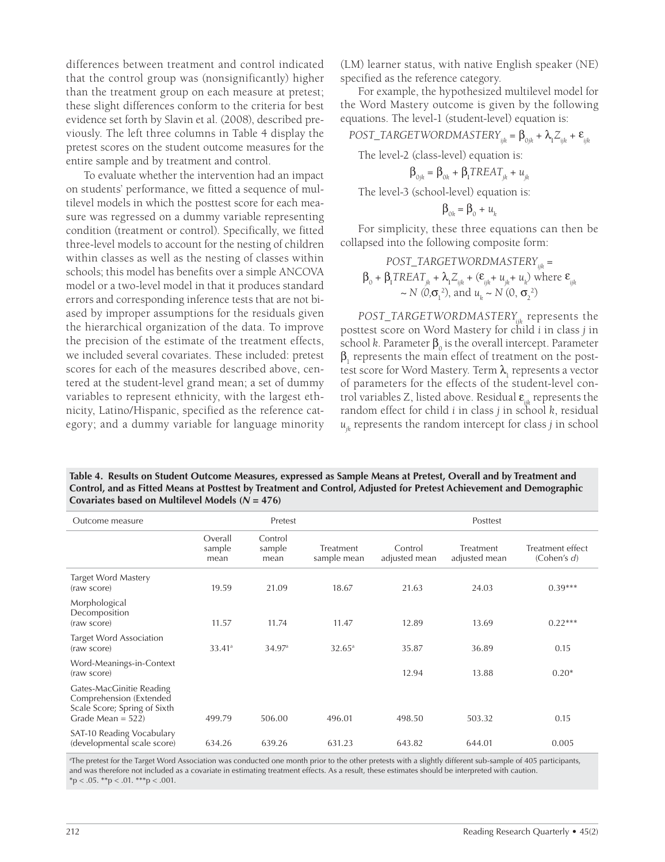differences between treatment and control indicated that the control group was (nonsignificantly) higher than the treatment group on each measure at pretest; these slight differences conform to the criteria for best evidence set forth by Slavin et al. (2008), described previously. The left three columns in Table 4 display the pretest scores on the student outcome measures for the entire sample and by treatment and control.

To evaluate whether the intervention had an impact on students' performance, we fitted a sequence of multilevel models in which the posttest score for each measure was regressed on a dummy variable representing condition (treatment or control). Specifically, we fitted three-level models to account for the nesting of children within classes as well as the nesting of classes within schools; this model has benefits over a simple ANCOVA model or a two-level model in that it produces standard errors and corresponding inference tests that are not biased by improper assumptions for the residuals given the hierarchical organization of the data. To improve the precision of the estimate of the treatment effects, we included several covariates. These included: pretest scores for each of the measures described above, centered at the student-level grand mean; a set of dummy variables to represent ethnicity, with the largest ethnicity, Latino/Hispanic, specified as the reference category; and a dummy variable for language minority (LM) learner status, with native English speaker (NE) specified as the reference category.

For example, the hypothesized multilevel model for the Word Mastery outcome is given by the following equations. The level-1 (student-level) equation is:

#### $POST\_TARGETWORDMASTERY_{ijk} = \beta_{0jk} + \lambda_i Z_{ijk} + \varepsilon_{ijk}$

The level-2 (class-level) equation is:

$$
\beta_{0jk} = \beta_{0k} + \beta_1 T REAL_{jk} + u_{jk}
$$

The level-3 (school-level) equation is:

$$
\beta_{0k} = \beta_0 + u_k
$$

For simplicity, these three equations can then be collapsed into the following composite form:

$$
\begin{aligned} \text{POST\_TARGETWORDMASTERY}_{ijk} &= \\ \beta_0 + \beta_1 T REAL_{jk} + \lambda_1 Z_{ijk} + (\epsilon_{ijk} + u_{jk} + u_k) \text{ where } \epsilon_{ijk} \\ &\sim N \ (0, \sigma_1^2), \text{ and } u_k \sim N \ (0, \ \sigma_2^2) \end{aligned}
$$

*POST\_TARGETWORDMASTERY<sub>ijk</sub>* represents the posttest score on Word Mastery for child *i* in class *j* in  $\text{school } k$ . Parameter  $\beta_0$  is the overall intercept. Parameter  $\beta_1$  represents the main effect of treatment on the posttest score for Word Mastery. Term  $\lambda_{\text{l}}$  represents a vector of parameters for the effects of the student-level control variables Z, listed above. Residual ε *ijk* represents the random effect for child *i* in class *j* in school *k*, residual  $u_{ik}$  represents the random intercept for class *j* in school

**Table 4. Results on Student Outcome Measures, expressed as Sample Means at Pretest, Overall and by Treatment and Control, and as Fitted Means at Posttest by Treatment and Control, Adjusted for Pretest Achievement and Demographic Covariates based on Multilevel Models (***N* **= 476)**

| Outcome measure                                                                                             | Pretest                   |                           |                          | Posttest                 |                            |                                    |
|-------------------------------------------------------------------------------------------------------------|---------------------------|---------------------------|--------------------------|--------------------------|----------------------------|------------------------------------|
|                                                                                                             | Overall<br>sample<br>mean | Control<br>sample<br>mean | Treatment<br>sample mean | Control<br>adjusted mean | Treatment<br>adjusted mean | Treatment effect<br>(Cohen's $d$ ) |
| Target Word Mastery<br>(raw score)                                                                          | 19.59                     | 21.09                     | 18.67                    | 21.63                    | 24.03                      | $0.39***$                          |
| Morphological<br>Decomposition<br>(raw score)                                                               | 11.57                     | 11.74                     | 11.47                    | 12.89                    | 13.69                      | $0.22***$                          |
| Target Word Association<br>(raw score)                                                                      | $33.41^a$                 | 34.97a                    | $32.65^{\circ}$          | 35.87                    | 36.89                      | 0.15                               |
| Word-Meanings-in-Context<br>(raw score)                                                                     |                           |                           |                          | 12.94                    | 13.88                      | $0.20*$                            |
| Gates-MacGinitie Reading<br>Comprehension (Extended<br>Scale Score; Spring of Sixth<br>Grade Mean $= 522$ ) | 499.79                    | 506.00                    | 496.01                   | 498.50                   | 503.32                     | 0.15                               |
| SAT-10 Reading Vocabulary<br>(developmental scale score)                                                    | 634.26                    | 639.26                    | 631.23                   | 643.82                   | 644.01                     | 0.005                              |

<sup>a</sup>The pretest for the Target Word Association was conducted one month prior to the other pretests with a slightly different sub-sample of 405 participants, and was therefore not included as a covariate in estimating treatment effects. As a result, these estimates should be interpreted with caution.  $*p < .05.$   $*p < .01.$   $**p < .001.$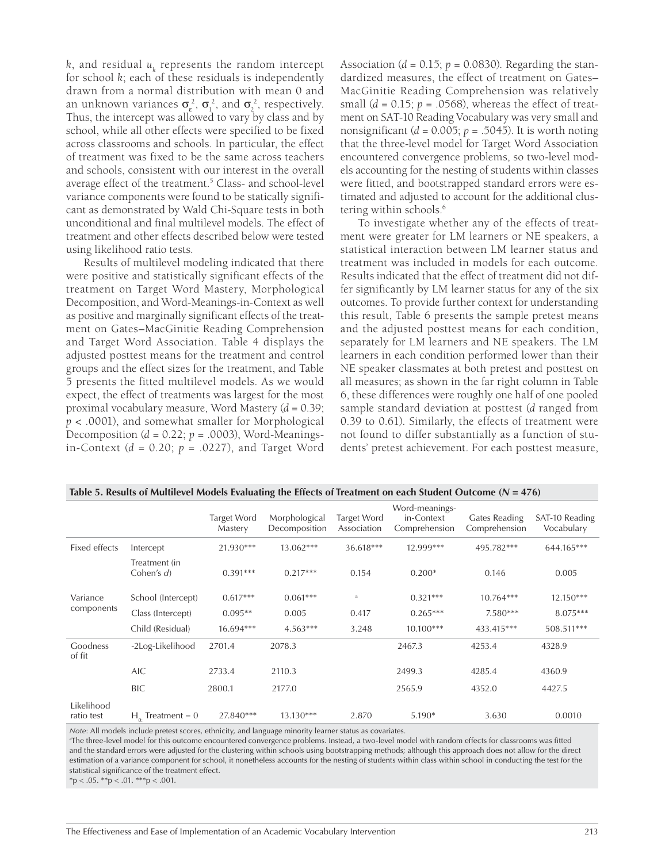$k$ , and residual  $u_k$  represents the random intercept for school *k*; each of these residuals is independently drawn from a normal distribution with mean 0 and an unknown variances  $\sigma_{\varepsilon}^2$ ,  $\sigma_1^2$ , and  $\sigma_2^2$ , respectively. Thus, the intercept was allowed to vary by class and by school, while all other effects were specified to be fixed across classrooms and schools. In particular, the effect of treatment was fixed to be the same across teachers and schools, consistent with our interest in the overall average effect of the treatment.<sup>5</sup> Class- and school-level variance components were found to be statically significant as demonstrated by Wald Chi-Square tests in both unconditional and final multilevel models. The effect of treatment and other effects described below were tested using likelihood ratio tests.

Results of multilevel modeling indicated that there were positive and statistically significant effects of the treatment on Target Word Mastery, Morphological Decomposition, and Word-Meanings-in-Context as well as positive and marginally significant effects of the treatment on Gates–MacGinitie Reading Comprehension and Target Word Association. Table 4 displays the adjusted posttest means for the treatment and control groups and the effect sizes for the treatment, and Table 5 presents the fitted multilevel models. As we would expect, the effect of treatments was largest for the most proximal vocabulary measure, Word Mastery (*d* = 0.39; *p* < .0001), and somewhat smaller for Morphological Decomposition (*d* = 0.22; *p* = .0003), Word-Meaningsin-Context  $(d = 0.20; p = .0227)$ , and Target Word

Association ( $d = 0.15$ ;  $p = 0.0830$ ). Regarding the standardized measures, the effect of treatment on Gates– MacGinitie Reading Comprehension was relatively small  $(d = 0.15; p = .0568)$ , whereas the effect of treatment on SAT-10 Reading Vocabulary was very small and nonsignificant ( $d = 0.005$ ;  $p = .5045$ ). It is worth noting that the three-level model for Target Word Association encountered convergence problems, so two-level models accounting for the nesting of students within classes were fitted, and bootstrapped standard errors were estimated and adjusted to account for the additional clustering within schools.<sup>6</sup>

To investigate whether any of the effects of treatment were greater for LM learners or NE speakers, a statistical interaction between LM learner status and treatment was included in models for each outcome. Results indicated that the effect of treatment did not differ significantly by LM learner status for any of the six outcomes. To provide further context for understanding this result, Table 6 presents the sample pretest means and the adjusted posttest means for each condition, separately for LM learners and NE speakers. The LM learners in each condition performed lower than their NE speaker classmates at both pretest and posttest on all measures; as shown in the far right column in Table 6, these differences were roughly one half of one pooled sample standard deviation at posttest (*d* ranged from 0.39 to 0.61). Similarly, the effects of treatment were not found to differ substantially as a function of students' pretest achievement. For each posttest measure,

|                          |                                |                        | $\mathbf \sigma$               |                            |                                               |                                |                              |
|--------------------------|--------------------------------|------------------------|--------------------------------|----------------------------|-----------------------------------------------|--------------------------------|------------------------------|
|                          |                                | Target Word<br>Mastery | Morphological<br>Decomposition | Target Word<br>Association | Word-meanings-<br>in-Context<br>Comprehension | Gates Reading<br>Comprehension | SAT-10 Reading<br>Vocabulary |
| Fixed effects            | Intercept                      | 21.930***              | $13.062***$                    | 36.618***                  | 12.999***                                     |                                | 644.165***                   |
|                          | Treatment (in<br>Cohen's $d$ ) | $0.391***$             | $0.217***$                     | 0.154                      | $0.200*$                                      | 0.146                          | 0.005                        |
| Variance                 | School (Intercept)             | $0.617***$             | $0.061***$                     | $\mathbf{a}$               | $0.321***$                                    | $10.764***$                    | $12.150***$                  |
| components               | Class (Intercept)              | $0.095**$              | 0.005                          | 0.417                      | $0.265***$                                    | $7.580***$                     | $8.075***$                   |
|                          | Child (Residual)               | 16.694***              | $4.563***$                     | 3.248                      | $10.100***$                                   | 433.415***                     | 508.511***                   |
| Goodness<br>of fit       | -2Log-Likelihood               | 2701.4                 | 2078.3                         |                            | 2467.3                                        | 4253.4                         | 4328.9                       |
|                          | <b>AIC</b>                     | 2733.4                 | 2110.3                         |                            | 2499.3                                        | 4285.4                         | 4360.9                       |
|                          | BIC                            | 2800.1                 | 2177.0                         |                            | 2565.9                                        | 4352.0                         | 4427.5                       |
| Likelihood<br>ratio test | $H_0$ . Treatment = 0          | 27.840***              | $13.130***$                    | 2.870                      | 5.190*                                        | 3.630                          | 0.0010                       |

**Table 5. Results of Multilevel Models Evaluating the Effects of Treatment on each Student Outcome (***N* **= 476)**

*Note*: All models include pretest scores, ethnicity, and language minority learner status as covariates.

<sup>a</sup>The three-level model for this outcome encountered convergence problems. Instead, a two-level model with random effects for classrooms was fitted and the standard errors were adjusted for the clustering within schools using bootstrapping methods; although this approach does not allow for the direct estimation of a variance component for school, it nonetheless accounts for the nesting of students within class within school in conducting the test for the statistical significance of the treatment effect.

 $*$ p < .05.  $*$  $*$ p < .01.  $*$  $*$  $*$ p < .001.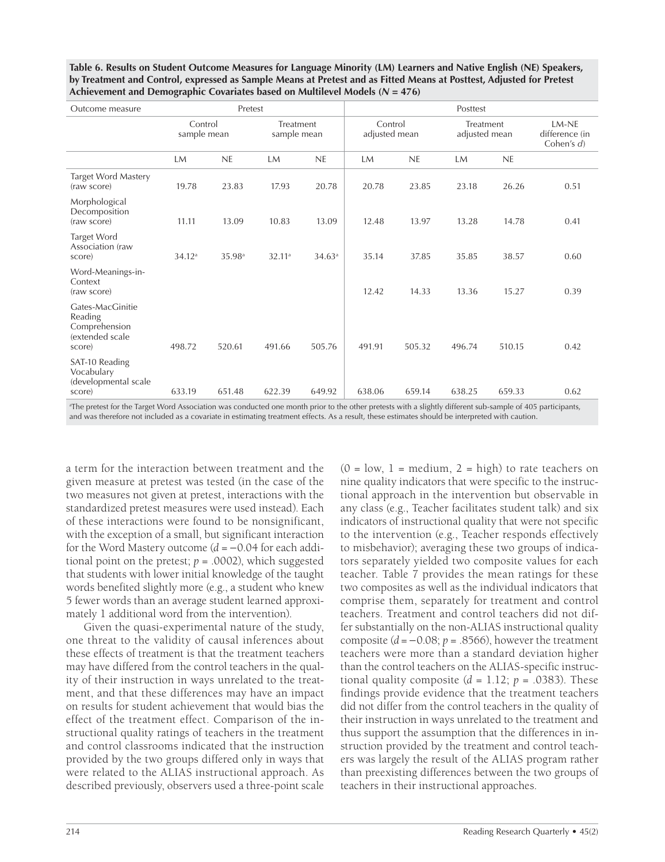| Table 6. Results on Student Outcome Measures for Language Minority (LM) Learners and Native English (NE) Speakers,   |
|----------------------------------------------------------------------------------------------------------------------|
| by Treatment and Control, expressed as Sample Means at Pretest and as Fitted Means at Posttest, Adjusted for Pretest |
| Achievement and Demographic Covariates based on Multilevel Models ( $N = 476$ )                                      |

| Outcome measure                                                           | Pretest                |                    |                          | Posttest |        |                          |        |                            |      |
|---------------------------------------------------------------------------|------------------------|--------------------|--------------------------|----------|--------|--------------------------|--------|----------------------------|------|
|                                                                           | Control<br>sample mean |                    | Treatment<br>sample mean |          |        | Control<br>adjusted mean |        | Treatment<br>adjusted mean |      |
|                                                                           | LM                     | <b>NE</b>          | LM                       | NE       | LM     | NE                       | LM     | <b>NE</b>                  |      |
| <b>Target Word Mastery</b><br>(raw score)                                 | 19.78                  | 23.83              | 17.93                    | 20.78    | 20.78  | 23.85                    | 23.18  | 26.26                      | 0.51 |
| Morphological<br>Decomposition<br>(raw score)                             | 11.11                  | 13.09              | 10.83                    | 13.09    | 12.48  | 13.97                    | 13.28  | 14.78                      | 0.41 |
| Target Word<br>Association (raw<br>score)                                 | 34.12a                 | 35.98 <sup>a</sup> | 32.11a                   | 34.63a   | 35.14  | 37.85                    | 35.85  | 38.57                      | 0.60 |
| Word-Meanings-in-<br>Context<br>(raw score)                               |                        |                    |                          |          | 12.42  | 14.33                    | 13.36  | 15.27                      | 0.39 |
| Gates-MacGinitie<br>Reading<br>Comprehension<br>(extended scale<br>score) | 498.72                 | 520.61             | 491.66                   | 505.76   | 491.91 | 505.32                   | 496.74 | 510.15                     | 0.42 |
| SAT-10 Reading<br>Vocabulary<br>(developmental scale<br>score)            | 633.19                 | 651.48             | 622.39                   | 649.92   | 638.06 | 659.14                   | 638.25 | 659.33                     | 0.62 |

<sup>a</sup>The pretest for the Target Word Association was conducted one month prior to the other pretests with a slightly different sub-sample of 405 participants, and was therefore not included as a covariate in estimating treatment effects. As a result, these estimates should be interpreted with caution.

a term for the interaction between treatment and the given measure at pretest was tested (in the case of the two measures not given at pretest, interactions with the standardized pretest measures were used instead). Each of these interactions were found to be nonsignificant, with the exception of a small, but significant interaction for the Word Mastery outcome (*d* = −0.04 for each additional point on the pretest;  $p = .0002$ ), which suggested that students with lower initial knowledge of the taught words benefited slightly more (e.g., a student who knew 5 fewer words than an average student learned approximately 1 additional word from the intervention).

Given the quasi-experimental nature of the study, one threat to the validity of causal inferences about these effects of treatment is that the treatment teachers may have differed from the control teachers in the quality of their instruction in ways unrelated to the treatment, and that these differences may have an impact on results for student achievement that would bias the effect of the treatment effect. Comparison of the instructional quality ratings of teachers in the treatment and control classrooms indicated that the instruction provided by the two groups differed only in ways that were related to the ALIAS instructional approach. As described previously, observers used a three-point scale

 $(0 = low, 1 = medium, 2 = high)$  to rate teachers on nine quality indicators that were specific to the instructional approach in the intervention but observable in any class (e.g., Teacher facilitates student talk) and six indicators of instructional quality that were not specific to the intervention (e.g., Teacher responds effectively to misbehavior); averaging these two groups of indicators separately yielded two composite values for each teacher. Table 7 provides the mean ratings for these two composites as well as the individual indicators that comprise them, separately for treatment and control teachers. Treatment and control teachers did not differ substantially on the non-ALIAS instructional quality composite  $(d = -0.08; p = .8566)$ , however the treatment teachers were more than a standard deviation higher than the control teachers on the ALIAS-specific instructional quality composite  $(d = 1.12; p = .0383)$ . These findings provide evidence that the treatment teachers did not differ from the control teachers in the quality of their instruction in ways unrelated to the treatment and thus support the assumption that the differences in instruction provided by the treatment and control teachers was largely the result of the ALIAS program rather than preexisting differences between the two groups of teachers in their instructional approaches.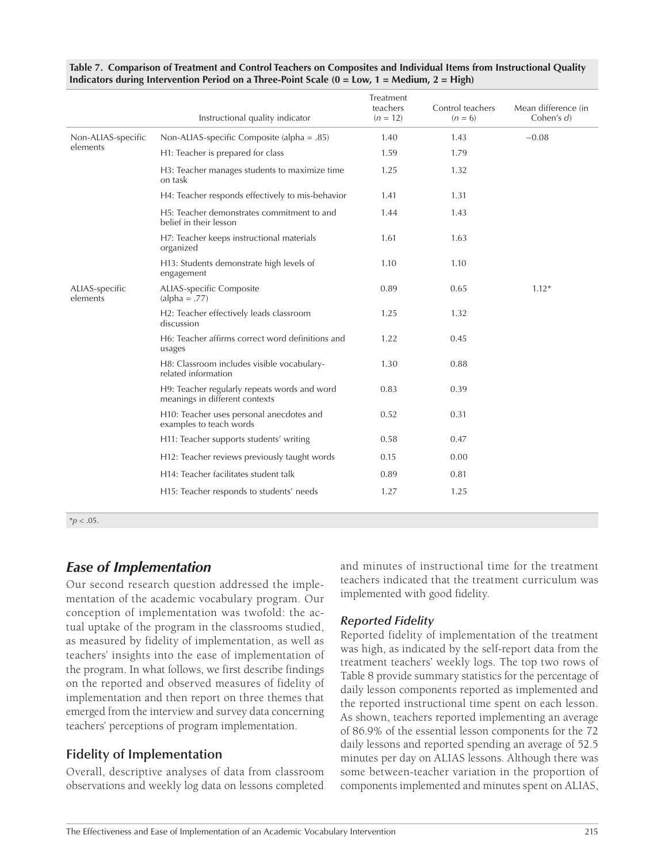| Table 7. Comparison of Treatment and Control Teachers on Composites and Individual Items from Instructional Quality |  |
|---------------------------------------------------------------------------------------------------------------------|--|
| Indicators during Intervention Period on a Three-Point Scale ( $0 = Low$ , $1 = Medium$ , $2 = High$ )              |  |

|                            | Instructional quality indicator                                                | Treatment<br>teachers<br>$(n = 12)$ | Control teachers<br>$(n = 6)$ | Mean difference (in<br>Cohen's $d$ ) |
|----------------------------|--------------------------------------------------------------------------------|-------------------------------------|-------------------------------|--------------------------------------|
| Non-ALIAS-specific         | Non-ALIAS-specific Composite (alpha = $.85$ )                                  | 1.40                                | 1.43                          | $-0.08$                              |
| elements                   | H1: Teacher is prepared for class                                              | 1.59                                | 1.79                          |                                      |
|                            | H3: Teacher manages students to maximize time<br>on task                       | 1.25                                | 1.32                          |                                      |
|                            | H4: Teacher responds effectively to mis-behavior                               | 1.41                                | 1.31                          |                                      |
|                            | H5: Teacher demonstrates commitment to and<br>belief in their lesson           | 1.44                                | 1.43                          |                                      |
|                            | H7: Teacher keeps instructional materials<br>organized                         | 1.61                                | 1.63                          |                                      |
|                            | H13: Students demonstrate high levels of<br>engagement                         | 1.10                                | 1.10                          |                                      |
| ALIAS-specific<br>elements | ALIAS-specific Composite<br>$(alpha = .77)$                                    | 0.89                                | 0.65                          | $1.12*$                              |
|                            | H2: Teacher effectively leads classroom<br>discussion                          | 1.25                                | 1.32                          |                                      |
|                            | H6: Teacher affirms correct word definitions and<br>usages                     | 1.22                                | 0.45                          |                                      |
|                            | H8: Classroom includes visible vocabulary-<br>related information              | 1.30                                | 0.88                          |                                      |
|                            | H9: Teacher regularly repeats words and word<br>meanings in different contexts | 0.83                                | 0.39                          |                                      |
|                            | H10: Teacher uses personal anecdotes and<br>examples to teach words            | 0.52                                | 0.31                          |                                      |
|                            | H11: Teacher supports students' writing                                        | 0.58                                | 0.47                          |                                      |
|                            | H12: Teacher reviews previously taught words                                   | 0.15                                | 0.00                          |                                      |
|                            | H <sub>14</sub> : Teacher facilitates student talk                             | 0.89                                | 0.81                          |                                      |
|                            | H15: Teacher responds to students' needs                                       | 1.27                                | 1.25                          |                                      |

 $*$ *p* < .05.

#### *Ease of Implementation*

Our second research question addressed the implementation of the academic vocabulary program. Our conception of implementation was twofold: the actual uptake of the program in the classrooms studied, as measured by fidelity of implementation, as well as teachers' insights into the ease of implementation of the program. In what follows, we first describe findings on the reported and observed measures of fidelity of implementation and then report on three themes that emerged from the interview and survey data concerning teachers' perceptions of program implementation.

#### **Fidelity of Implementation**

Overall, descriptive analyses of data from classroom observations and weekly log data on lessons completed and minutes of instructional time for the treatment teachers indicated that the treatment curriculum was implemented with good fidelity.

#### *Reported Fidelity*

Reported fidelity of implementation of the treatment was high, as indicated by the self-report data from the treatment teachers' weekly logs. The top two rows of Table 8 provide summary statistics for the percentage of daily lesson components reported as implemented and the reported instructional time spent on each lesson. As shown, teachers reported implementing an average of 86.9% of the essential lesson components for the 72 daily lessons and reported spending an average of 52.5 minutes per day on ALIAS lessons. Although there was some between-teacher variation in the proportion of components implemented and minutes spent on ALIAS,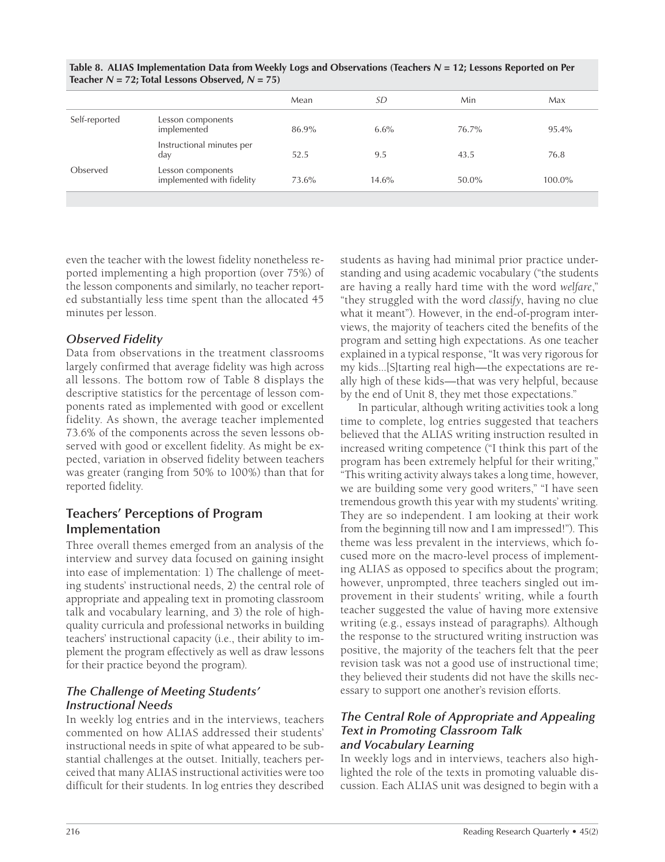|               |                                                | Mean  | SD    | Min   | Max    |
|---------------|------------------------------------------------|-------|-------|-------|--------|
| Self-reported | Lesson components<br>implemented               | 86.9% | 6.6%  | 76.7% | 95.4%  |
|               | Instructional minutes per<br>day               | 52.5  | 9.5   | 43.5  | 76.8   |
| Observed      | Lesson components<br>implemented with fidelity | 73.6% | 14.6% | 50.0% | 100.0% |

**Table 8. ALIAS Implementation Data from Weekly Logs and Observations (Teachers** *N* **= 12; Lessons Reported on Per Teacher**  $N = 72$ **; Total Lessons Observed,**  $N = 75$ **)** 

even the teacher with the lowest fidelity nonetheless reported implementing a high proportion (over 75%) of the lesson components and similarly, no teacher reported substantially less time spent than the allocated 45 minutes per lesson.

#### *Observed Fidelity*

Data from observations in the treatment classrooms largely confirmed that average fidelity was high across all lessons. The bottom row of Table 8 displays the descriptive statistics for the percentage of lesson components rated as implemented with good or excellent fidelity. As shown, the average teacher implemented 73.6% of the components across the seven lessons observed with good or excellent fidelity. As might be expected, variation in observed fidelity between teachers was greater (ranging from 50% to 100%) than that for reported fidelity.

#### **Teachers' Perceptions of Program Implementation**

Three overall themes emerged from an analysis of the interview and survey data focused on gaining insight into ease of implementation: 1) The challenge of meeting students' instructional needs, 2) the central role of appropriate and appealing text in promoting classroom talk and vocabulary learning, and 3) the role of highquality curricula and professional networks in building teachers' instructional capacity (i.e., their ability to implement the program effectively as well as draw lessons for their practice beyond the program).

#### *The Challenge of Meeting Students' Instructional Needs*

In weekly log entries and in the interviews, teachers commented on how ALIAS addressed their students' instructional needs in spite of what appeared to be substantial challenges at the outset. Initially, teachers perceived that many ALIAS instructional activities were too difficult for their students. In log entries they described

students as having had minimal prior practice understanding and using academic vocabulary ("the students are having a really hard time with the word *welfare*," "they struggled with the word *classify*, having no clue what it meant"). However, in the end-of-program interviews, the majority of teachers cited the benefits of the program and setting high expectations. As one teacher explained in a typical response, "It was very rigorous for my kids...[S]tarting real high—the expectations are really high of these kids—that was very helpful, because by the end of Unit 8, they met those expectations."

In particular, although writing activities took a long time to complete, log entries suggested that teachers believed that the ALIAS writing instruction resulted in increased writing competence ("I think this part of the program has been extremely helpful for their writing," "This writing activity always takes a long time, however, we are building some very good writers," "I have seen tremendous growth this year with my students' writing. They are so independent. I am looking at their work from the beginning till now and I am impressed!"). This theme was less prevalent in the interviews, which focused more on the macro-level process of implementing ALIAS as opposed to specifics about the program; however, unprompted, three teachers singled out improvement in their students' writing, while a fourth teacher suggested the value of having more extensive writing (e.g., essays instead of paragraphs). Although the response to the structured writing instruction was positive, the majority of the teachers felt that the peer revision task was not a good use of instructional time; they believed their students did not have the skills necessary to support one another's revision efforts.

#### *The Central Role of Appropriate and Appealing Text in Promoting Classroom Talk and Vocabulary Learning*

In weekly logs and in interviews, teachers also highlighted the role of the texts in promoting valuable discussion. Each ALIAS unit was designed to begin with a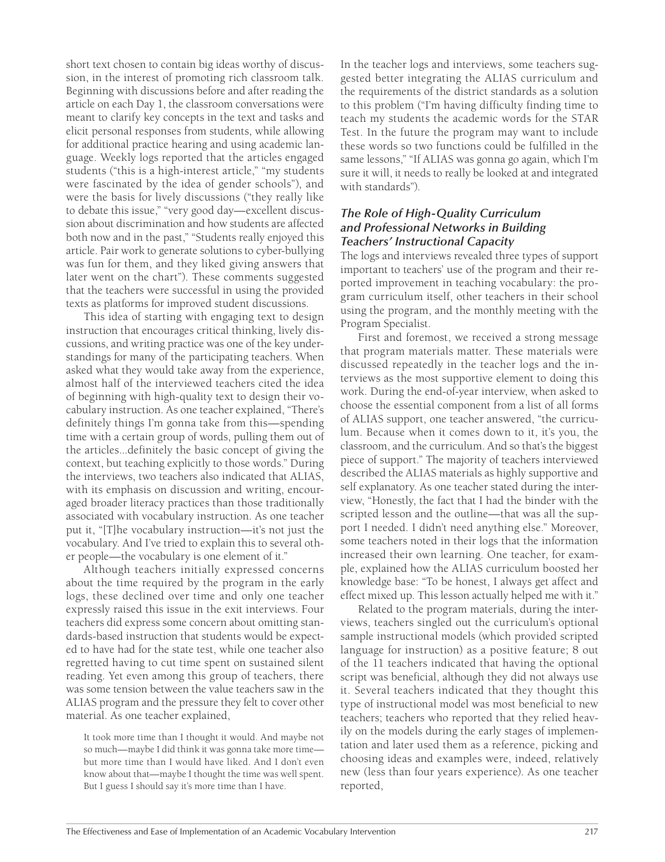short text chosen to contain big ideas worthy of discussion, in the interest of promoting rich classroom talk. Beginning with discussions before and after reading the article on each Day 1, the classroom conversations were meant to clarify key concepts in the text and tasks and elicit personal responses from students, while allowing for additional practice hearing and using academic language. Weekly logs reported that the articles engaged students ("this is a high-interest article," "my students were fascinated by the idea of gender schools"), and were the basis for lively discussions ("they really like to debate this issue," "very good day—excellent discussion about discrimination and how students are affected both now and in the past," "Students really enjoyed this article. Pair work to generate solutions to cyber-bullying was fun for them, and they liked giving answers that later went on the chart"). These comments suggested that the teachers were successful in using the provided texts as platforms for improved student discussions.

This idea of starting with engaging text to design instruction that encourages critical thinking, lively discussions, and writing practice was one of the key understandings for many of the participating teachers. When asked what they would take away from the experience, almost half of the interviewed teachers cited the idea of beginning with high-quality text to design their vocabulary instruction. As one teacher explained, "There's definitely things I'm gonna take from this—spending time with a certain group of words, pulling them out of the articles...definitely the basic concept of giving the context, but teaching explicitly to those words." During the interviews, two teachers also indicated that ALIAS, with its emphasis on discussion and writing, encouraged broader literacy practices than those traditionally associated with vocabulary instruction. As one teacher put it, "[T]he vocabulary instruction—it's not just the vocabulary. And I've tried to explain this to several other people—the vocabulary is one element of it."

Although teachers initially expressed concerns about the time required by the program in the early logs, these declined over time and only one teacher expressly raised this issue in the exit interviews. Four teachers did express some concern about omitting standards-based instruction that students would be expected to have had for the state test, while one teacher also regretted having to cut time spent on sustained silent reading. Yet even among this group of teachers, there was some tension between the value teachers saw in the ALIAS program and the pressure they felt to cover other material. As one teacher explained,

It took more time than I thought it would. And maybe not so much—maybe I did think it was gonna take more time but more time than I would have liked. And I don't even know about that—maybe I thought the time was well spent. But I guess I should say it's more time than I have.

In the teacher logs and interviews, some teachers suggested better integrating the ALIAS curriculum and the requirements of the district standards as a solution to this problem ("I'm having difficulty finding time to teach my students the academic words for the STAR Test. In the future the program may want to include these words so two functions could be fulfilled in the same lessons," "If ALIAS was gonna go again, which I'm sure it will, it needs to really be looked at and integrated with standards").

#### *The Role of High-Quality Curriculum and Professional Networks in Building Teachers' Instructional Capacity*

The logs and interviews revealed three types of support important to teachers' use of the program and their reported improvement in teaching vocabulary: the program curriculum itself, other teachers in their school using the program, and the monthly meeting with the Program Specialist.

First and foremost, we received a strong message that program materials matter. These materials were discussed repeatedly in the teacher logs and the interviews as the most supportive element to doing this work. During the end-of-year interview, when asked to choose the essential component from a list of all forms of ALIAS support, one teacher answered, "the curriculum. Because when it comes down to it, it's you, the classroom, and the curriculum. And so that's the biggest piece of support." The majority of teachers interviewed described the ALIAS materials as highly supportive and self explanatory. As one teacher stated during the interview, "Honestly, the fact that I had the binder with the scripted lesson and the outline—that was all the support I needed. I didn't need anything else." Moreover, some teachers noted in their logs that the information increased their own learning. One teacher, for example, explained how the ALIAS curriculum boosted her knowledge base: "To be honest, I always get affect and effect mixed up. This lesson actually helped me with it."

Related to the program materials, during the interviews, teachers singled out the curriculum's optional sample instructional models (which provided scripted language for instruction) as a positive feature; 8 out of the 11 teachers indicated that having the optional script was beneficial, although they did not always use it. Several teachers indicated that they thought this type of instructional model was most beneficial to new teachers; teachers who reported that they relied heavily on the models during the early stages of implementation and later used them as a reference, picking and choosing ideas and examples were, indeed, relatively new (less than four years experience). As one teacher reported,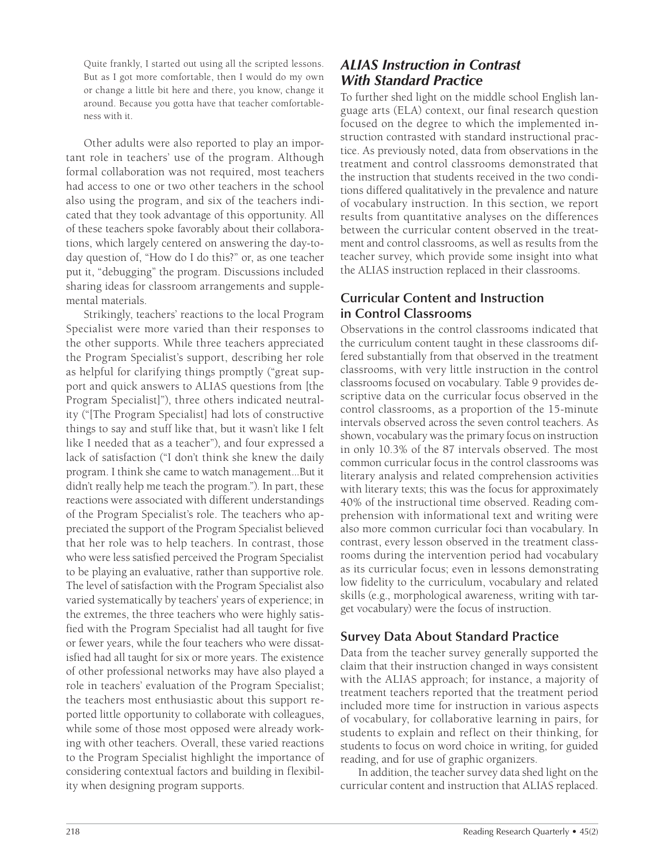Quite frankly, I started out using all the scripted lessons. But as I got more comfortable, then I would do my own or change a little bit here and there, you know, change it around. Because you gotta have that teacher comfortableness with it.

Other adults were also reported to play an important role in teachers' use of the program. Although formal collaboration was not required, most teachers had access to one or two other teachers in the school also using the program, and six of the teachers indicated that they took advantage of this opportunity. All of these teachers spoke favorably about their collaborations, which largely centered on answering the day-today question of, "How do I do this?" or, as one teacher put it, "debugging" the program. Discussions included sharing ideas for classroom arrangements and supplemental materials.

Strikingly, teachers' reactions to the local Program Specialist were more varied than their responses to the other supports. While three teachers appreciated the Program Specialist's support, describing her role as helpful for clarifying things promptly ("great support and quick answers to ALIAS questions from [the Program Specialist]"), three others indicated neutrality ("[The Program Specialist] had lots of constructive things to say and stuff like that, but it wasn't like I felt like I needed that as a teacher"), and four expressed a lack of satisfaction ("I don't think she knew the daily program. I think she came to watch management...But it didn't really help me teach the program."). In part, these reactions were associated with different understandings of the Program Specialist's role. The teachers who appreciated the support of the Program Specialist believed that her role was to help teachers. In contrast, those who were less satisfied perceived the Program Specialist to be playing an evaluative, rather than supportive role. The level of satisfaction with the Program Specialist also varied systematically by teachers' years of experience; in the extremes, the three teachers who were highly satisfied with the Program Specialist had all taught for five or fewer years, while the four teachers who were dissatisfied had all taught for six or more years. The existence of other professional networks may have also played a role in teachers' evaluation of the Program Specialist; the teachers most enthusiastic about this support reported little opportunity to collaborate with colleagues, while some of those most opposed were already working with other teachers. Overall, these varied reactions to the Program Specialist highlight the importance of considering contextual factors and building in flexibility when designing program supports.

## *ALIAS Instruction in Contrast With Standard Practice*

To further shed light on the middle school English language arts (ELA) context, our final research question focused on the degree to which the implemented instruction contrasted with standard instructional practice. As previously noted, data from observations in the treatment and control classrooms demonstrated that the instruction that students received in the two conditions differed qualitatively in the prevalence and nature of vocabulary instruction. In this section, we report results from quantitative analyses on the differences between the curricular content observed in the treatment and control classrooms, as well as results from the teacher survey, which provide some insight into what the ALIAS instruction replaced in their classrooms.

## **Curricular Content and Instruction in Control Classrooms**

Observations in the control classrooms indicated that the curriculum content taught in these classrooms differed substantially from that observed in the treatment classrooms, with very little instruction in the control classrooms focused on vocabulary. Table 9 provides descriptive data on the curricular focus observed in the control classrooms, as a proportion of the 15-minute intervals observed across the seven control teachers. As shown, vocabulary was the primary focus on instruction in only 10.3% of the 87 intervals observed. The most common curricular focus in the control classrooms was literary analysis and related comprehension activities with literary texts; this was the focus for approximately 40% of the instructional time observed. Reading comprehension with informational text and writing were also more common curricular foci than vocabulary. In contrast, every lesson observed in the treatment classrooms during the intervention period had vocabulary as its curricular focus; even in lessons demonstrating low fidelity to the curriculum, vocabulary and related skills (e.g., morphological awareness, writing with target vocabulary) were the focus of instruction.

## **Survey Data About Standard Practice**

Data from the teacher survey generally supported the claim that their instruction changed in ways consistent with the ALIAS approach; for instance, a majority of treatment teachers reported that the treatment period included more time for instruction in various aspects of vocabulary, for collaborative learning in pairs, for students to explain and reflect on their thinking, for students to focus on word choice in writing, for guided reading, and for use of graphic organizers.

In addition, the teacher survey data shed light on the curricular content and instruction that ALIAS replaced.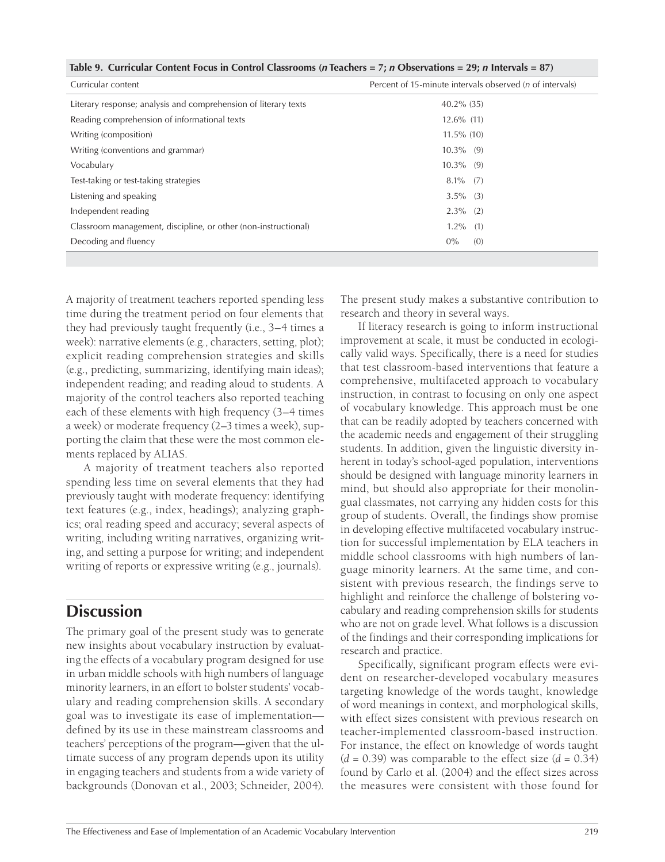| Curricular content                                              | Percent of 15-minute intervals observed ( <i>n</i> of intervals) |
|-----------------------------------------------------------------|------------------------------------------------------------------|
| Literary response; analysis and comprehension of literary texts | $40.2\%$ (35)                                                    |
| Reading comprehension of informational texts                    | $12.6\%$ (11)                                                    |
| Writing (composition)                                           | $11.5\%$ (10)                                                    |
| Writing (conventions and grammar)                               | $10.3\%$ (9)                                                     |
| Vocabulary                                                      | $10.3\%$ (9)                                                     |
| Test-taking or test-taking strategies                           | $8.1\%$ (7)                                                      |
| Listening and speaking                                          | $3.5\%$ (3)                                                      |
| Independent reading                                             | $2.3\%$ (2)                                                      |
| Classroom management, discipline, or other (non-instructional)  | $1.2\%$ (1)                                                      |
| Decoding and fluency                                            | (0)<br>$0\%$                                                     |

**Table 9. Curricular Content Focus in Control Classrooms (***n* **Teachers = 7;** *n* **Observations = 29;** *n* **Intervals = 87)**

A majority of treatment teachers reported spending less time during the treatment period on four elements that they had previously taught frequently (i.e., 3–4 times a week): narrative elements (e.g., characters, setting, plot); explicit reading comprehension strategies and skills (e.g., predicting, summarizing, identifying main ideas); independent reading; and reading aloud to students. A majority of the control teachers also reported teaching each of these elements with high frequency (3–4 times a week) or moderate frequency (2–3 times a week), supporting the claim that these were the most common elements replaced by ALIAS.

A majority of treatment teachers also reported spending less time on several elements that they had previously taught with moderate frequency: identifying text features (e.g., index, headings); analyzing graphics; oral reading speed and accuracy; several aspects of writing, including writing narratives, organizing writing, and setting a purpose for writing; and independent writing of reports or expressive writing (e.g., journals).

# **Discussion**

The primary goal of the present study was to generate new insights about vocabulary instruction by evaluating the effects of a vocabulary program designed for use in urban middle schools with high numbers of language minority learners, in an effort to bolster students' vocabulary and reading comprehension skills. A secondary goal was to investigate its ease of implementation defined by its use in these mainstream classrooms and teachers' perceptions of the program—given that the ultimate success of any program depends upon its utility in engaging teachers and students from a wide variety of backgrounds (Donovan et al., 2003; Schneider, 2004).

The present study makes a substantive contribution to research and theory in several ways.

If literacy research is going to inform instructional improvement at scale, it must be conducted in ecologically valid ways. Specifically, there is a need for studies that test classroom-based interventions that feature a comprehensive, multifaceted approach to vocabulary instruction, in contrast to focusing on only one aspect of vocabulary knowledge. This approach must be one that can be readily adopted by teachers concerned with the academic needs and engagement of their struggling students. In addition, given the linguistic diversity inherent in today's school-aged population, interventions should be designed with language minority learners in mind, but should also appropriate for their monolingual classmates, not carrying any hidden costs for this group of students. Overall, the findings show promise in developing effective multifaceted vocabulary instruction for successful implementation by ELA teachers in middle school classrooms with high numbers of language minority learners. At the same time, and consistent with previous research, the findings serve to highlight and reinforce the challenge of bolstering vocabulary and reading comprehension skills for students who are not on grade level. What follows is a discussion of the findings and their corresponding implications for research and practice.

Specifically, significant program effects were evident on researcher-developed vocabulary measures targeting knowledge of the words taught, knowledge of word meanings in context, and morphological skills, with effect sizes consistent with previous research on teacher-implemented classroom-based instruction. For instance, the effect on knowledge of words taught  $(d = 0.39)$  was comparable to the effect size  $(d = 0.34)$ found by Carlo et al. (2004) and the effect sizes across the measures were consistent with those found for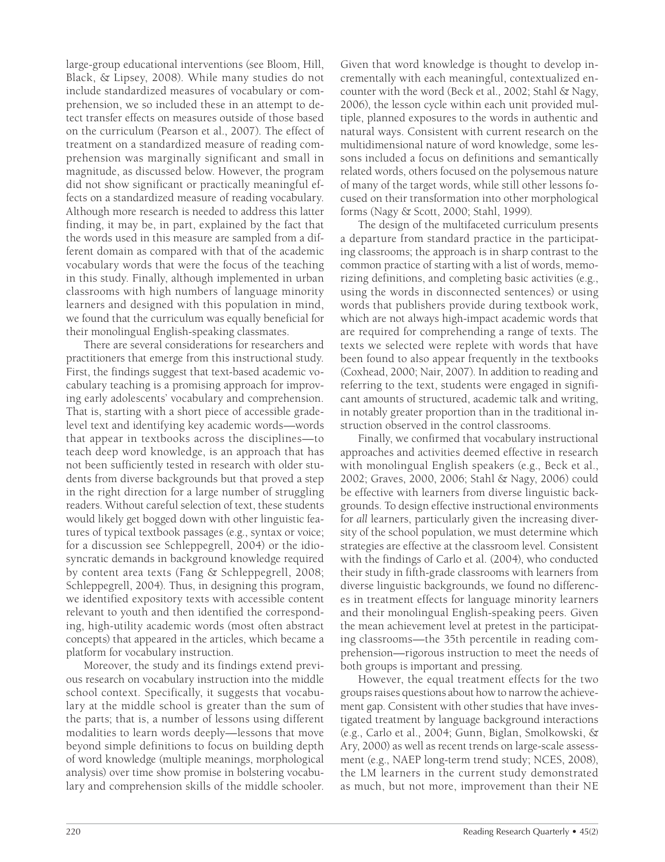large-group educational interventions (see Bloom, Hill, Black, & Lipsey, 2008). While many studies do not include standardized measures of vocabulary or comprehension, we so included these in an attempt to detect transfer effects on measures outside of those based on the curriculum (Pearson et al., 2007). The effect of treatment on a standardized measure of reading comprehension was marginally significant and small in magnitude, as discussed below. However, the program did not show significant or practically meaningful effects on a standardized measure of reading vocabulary. Although more research is needed to address this latter finding, it may be, in part, explained by the fact that the words used in this measure are sampled from a different domain as compared with that of the academic vocabulary words that were the focus of the teaching in this study. Finally, although implemented in urban classrooms with high numbers of language minority learners and designed with this population in mind, we found that the curriculum was equally beneficial for their monolingual English-speaking classmates.

There are several considerations for researchers and practitioners that emerge from this instructional study. First, the findings suggest that text-based academic vocabulary teaching is a promising approach for improving early adolescents' vocabulary and comprehension. That is, starting with a short piece of accessible gradelevel text and identifying key academic words—words that appear in textbooks across the disciplines—to teach deep word knowledge, is an approach that has not been sufficiently tested in research with older students from diverse backgrounds but that proved a step in the right direction for a large number of struggling readers. Without careful selection of text, these students would likely get bogged down with other linguistic features of typical textbook passages (e.g., syntax or voice; for a discussion see Schleppegrell, 2004) or the idiosyncratic demands in background knowledge required by content area texts (Fang & Schleppegrell, 2008; Schleppegrell, 2004). Thus, in designing this program, we identified expository texts with accessible content relevant to youth and then identified the corresponding, high-utility academic words (most often abstract concepts) that appeared in the articles, which became a platform for vocabulary instruction.

Moreover, the study and its findings extend previous research on vocabulary instruction into the middle school context. Specifically, it suggests that vocabulary at the middle school is greater than the sum of the parts; that is, a number of lessons using different modalities to learn words deeply—lessons that move beyond simple definitions to focus on building depth of word knowledge (multiple meanings, morphological analysis) over time show promise in bolstering vocabulary and comprehension skills of the middle schooler.

Given that word knowledge is thought to develop incrementally with each meaningful, contextualized encounter with the word (Beck et al., 2002; Stahl & Nagy, 2006), the lesson cycle within each unit provided multiple, planned exposures to the words in authentic and natural ways. Consistent with current research on the multidimensional nature of word knowledge, some lessons included a focus on definitions and semantically related words, others focused on the polysemous nature of many of the target words, while still other lessons focused on their transformation into other morphological forms (Nagy & Scott, 2000; Stahl, 1999).

The design of the multifaceted curriculum presents a departure from standard practice in the participating classrooms; the approach is in sharp contrast to the common practice of starting with a list of words, memorizing definitions, and completing basic activities (e.g., using the words in disconnected sentences) or using words that publishers provide during textbook work, which are not always high-impact academic words that are required for comprehending a range of texts. The texts we selected were replete with words that have been found to also appear frequently in the textbooks (Coxhead, 2000; Nair, 2007). In addition to reading and referring to the text, students were engaged in significant amounts of structured, academic talk and writing, in notably greater proportion than in the traditional instruction observed in the control classrooms.

Finally, we confirmed that vocabulary instructional approaches and activities deemed effective in research with monolingual English speakers (e.g., Beck et al., 2002; Graves, 2000, 2006; Stahl & Nagy, 2006) could be effective with learners from diverse linguistic backgrounds. To design effective instructional environments for *all* learners, particularly given the increasing diversity of the school population, we must determine which strategies are effective at the classroom level. Consistent with the findings of Carlo et al. (2004), who conducted their study in fifth-grade classrooms with learners from diverse linguistic backgrounds, we found no differences in treatment effects for language minority learners and their monolingual English-speaking peers. Given the mean achievement level at pretest in the participating classrooms—the 35th percentile in reading comprehension—rigorous instruction to meet the needs of both groups is important and pressing.

However, the equal treatment effects for the two groups raises questions about how to narrow the achievement gap. Consistent with other studies that have investigated treatment by language background interactions (e.g., Carlo et al., 2004; Gunn, Biglan, Smolkowski, & Ary, 2000) as well as recent trends on large-scale assessment (e.g., NAEP long-term trend study; NCES, 2008), the LM learners in the current study demonstrated as much, but not more, improvement than their NE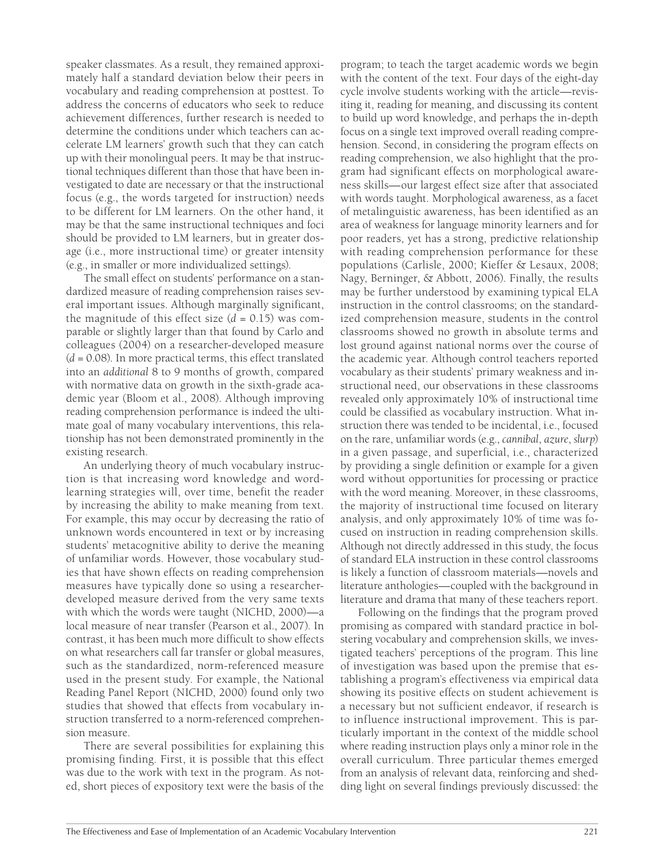speaker classmates. As a result, they remained approximately half a standard deviation below their peers in vocabulary and reading comprehension at posttest. To address the concerns of educators who seek to reduce achievement differences, further research is needed to determine the conditions under which teachers can accelerate LM learners' growth such that they can catch up with their monolingual peers. It may be that instructional techniques different than those that have been investigated to date are necessary or that the instructional focus (e.g., the words targeted for instruction) needs to be different for LM learners. On the other hand, it may be that the same instructional techniques and foci should be provided to LM learners, but in greater dosage (i.e., more instructional time) or greater intensity (e.g., in smaller or more individualized settings).

The small effect on students' performance on a standardized measure of reading comprehension raises several important issues. Although marginally significant, the magnitude of this effect size  $(d = 0.15)$  was comparable or slightly larger than that found by Carlo and colleagues (2004) on a researcher-developed measure (*d* = 0.08). In more practical terms, this effect translated into an *additional* 8 to 9 months of growth, compared with normative data on growth in the sixth-grade academic year (Bloom et al., 2008). Although improving reading comprehension performance is indeed the ultimate goal of many vocabulary interventions, this relationship has not been demonstrated prominently in the existing research.

An underlying theory of much vocabulary instruction is that increasing word knowledge and wordlearning strategies will, over time, benefit the reader by increasing the ability to make meaning from text. For example, this may occur by decreasing the ratio of unknown words encountered in text or by increasing students' metacognitive ability to derive the meaning of unfamiliar words. However, those vocabulary studies that have shown effects on reading comprehension measures have typically done so using a researcherdeveloped measure derived from the very same texts with which the words were taught (NICHD, 2000)—a local measure of near transfer (Pearson et al., 2007). In contrast, it has been much more difficult to show effects on what researchers call far transfer or global measures, such as the standardized, norm-referenced measure used in the present study. For example, the National Reading Panel Report (NICHD, 2000) found only two studies that showed that effects from vocabulary instruction transferred to a norm-referenced comprehension measure.

There are several possibilities for explaining this promising finding. First, it is possible that this effect was due to the work with text in the program. As noted, short pieces of expository text were the basis of the

program; to teach the target academic words we begin with the content of the text. Four days of the eight-day cycle involve students working with the article—revisiting it, reading for meaning, and discussing its content to build up word knowledge, and perhaps the in-depth focus on a single text improved overall reading comprehension. Second, in considering the program effects on reading comprehension, we also highlight that the program had significant effects on morphological awareness skills—our largest effect size after that associated with words taught. Morphological awareness, as a facet of metalinguistic awareness, has been identified as an area of weakness for language minority learners and for poor readers, yet has a strong, predictive relationship with reading comprehension performance for these populations (Carlisle, 2000; Kieffer & Lesaux, 2008; Nagy, Berninger, & Abbott, 2006). Finally, the results may be further understood by examining typical ELA instruction in the control classrooms; on the standardized comprehension measure, students in the control classrooms showed no growth in absolute terms and lost ground against national norms over the course of the academic year. Although control teachers reported vocabulary as their students' primary weakness and instructional need, our observations in these classrooms revealed only approximately 10% of instructional time could be classified as vocabulary instruction. What instruction there was tended to be incidental, i.e., focused on the rare, unfamiliar words (e.g., *cannibal*, *azure*, *slurp*) in a given passage, and superficial, i.e., characterized by providing a single definition or example for a given word without opportunities for processing or practice with the word meaning. Moreover, in these classrooms, the majority of instructional time focused on literary analysis, and only approximately 10% of time was focused on instruction in reading comprehension skills. Although not directly addressed in this study, the focus of standard ELA instruction in these control classrooms is likely a function of classroom materials—novels and literature anthologies—coupled with the background in literature and drama that many of these teachers report.

Following on the findings that the program proved promising as compared with standard practice in bolstering vocabulary and comprehension skills, we investigated teachers' perceptions of the program. This line of investigation was based upon the premise that establishing a program's effectiveness via empirical data showing its positive effects on student achievement is a necessary but not sufficient endeavor, if research is to influence instructional improvement. This is particularly important in the context of the middle school where reading instruction plays only a minor role in the overall curriculum. Three particular themes emerged from an analysis of relevant data, reinforcing and shedding light on several findings previously discussed: the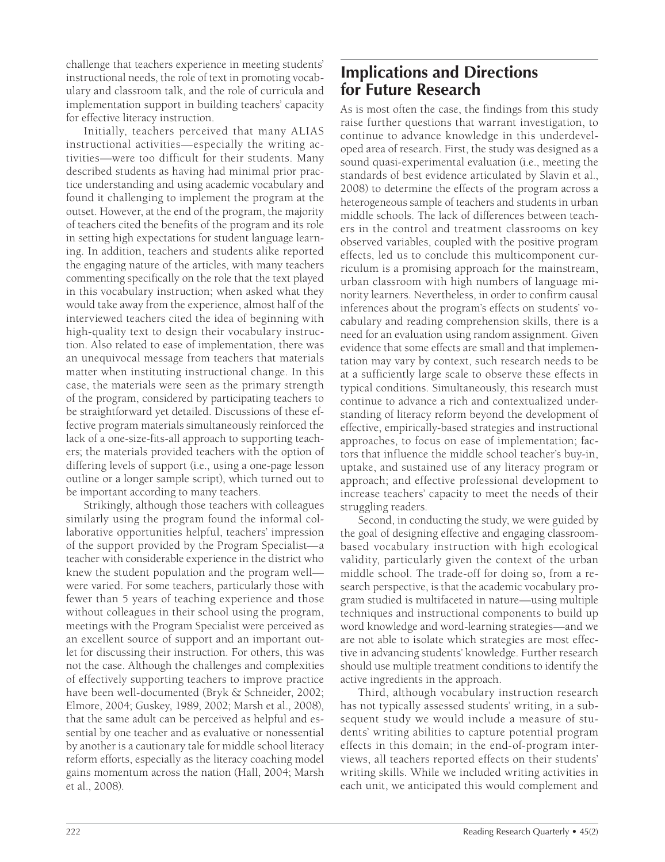challenge that teachers experience in meeting students' instructional needs, the role of text in promoting vocabulary and classroom talk, and the role of curricula and implementation support in building teachers' capacity for effective literacy instruction.

Initially, teachers perceived that many ALIAS instructional activities—especially the writing activities—were too difficult for their students. Many described students as having had minimal prior practice understanding and using academic vocabulary and found it challenging to implement the program at the outset. However, at the end of the program, the majority of teachers cited the benefits of the program and its role in setting high expectations for student language learning. In addition, teachers and students alike reported the engaging nature of the articles, with many teachers commenting specifically on the role that the text played in this vocabulary instruction; when asked what they would take away from the experience, almost half of the interviewed teachers cited the idea of beginning with high-quality text to design their vocabulary instruction. Also related to ease of implementation, there was an unequivocal message from teachers that materials matter when instituting instructional change. In this case, the materials were seen as the primary strength of the program, considered by participating teachers to be straightforward yet detailed. Discussions of these effective program materials simultaneously reinforced the lack of a one-size-fits-all approach to supporting teachers; the materials provided teachers with the option of differing levels of support (i.e., using a one-page lesson outline or a longer sample script), which turned out to be important according to many teachers.

Strikingly, although those teachers with colleagues similarly using the program found the informal collaborative opportunities helpful, teachers' impression of the support provided by the Program Specialist—a teacher with considerable experience in the district who knew the student population and the program well were varied. For some teachers, particularly those with fewer than 5 years of teaching experience and those without colleagues in their school using the program, meetings with the Program Specialist were perceived as an excellent source of support and an important outlet for discussing their instruction. For others, this was not the case. Although the challenges and complexities of effectively supporting teachers to improve practice have been well-documented (Bryk & Schneider, 2002; Elmore, 2004; Guskey, 1989, 2002; Marsh et al., 2008), that the same adult can be perceived as helpful and essential by one teacher and as evaluative or nonessential by another is a cautionary tale for middle school literacy reform efforts, especially as the literacy coaching model gains momentum across the nation (Hall, 2004; Marsh et al., 2008).

# **Implications and Directions for Future Research**

As is most often the case, the findings from this study raise further questions that warrant investigation, to continue to advance knowledge in this underdeveloped area of research. First, the study was designed as a sound quasi-experimental evaluation (i.e., meeting the standards of best evidence articulated by Slavin et al., 2008) to determine the effects of the program across a heterogeneous sample of teachers and students in urban middle schools. The lack of differences between teachers in the control and treatment classrooms on key observed variables, coupled with the positive program effects, led us to conclude this multicomponent curriculum is a promising approach for the mainstream, urban classroom with high numbers of language minority learners. Nevertheless, in order to confirm causal inferences about the program's effects on students' vocabulary and reading comprehension skills, there is a need for an evaluation using random assignment. Given evidence that some effects are small and that implementation may vary by context, such research needs to be at a sufficiently large scale to observe these effects in typical conditions. Simultaneously, this research must continue to advance a rich and contextualized understanding of literacy reform beyond the development of effective, empirically-based strategies and instructional approaches, to focus on ease of implementation; factors that influence the middle school teacher's buy-in, uptake, and sustained use of any literacy program or approach; and effective professional development to increase teachers' capacity to meet the needs of their struggling readers.

Second, in conducting the study, we were guided by the goal of designing effective and engaging classroombased vocabulary instruction with high ecological validity, particularly given the context of the urban middle school. The trade-off for doing so, from a research perspective, is that the academic vocabulary program studied is multifaceted in nature—using multiple techniques and instructional components to build up word knowledge and word-learning strategies—and we are not able to isolate which strategies are most effective in advancing students' knowledge. Further research should use multiple treatment conditions to identify the active ingredients in the approach.

Third, although vocabulary instruction research has not typically assessed students' writing, in a subsequent study we would include a measure of students' writing abilities to capture potential program effects in this domain; in the end-of-program interviews, all teachers reported effects on their students' writing skills. While we included writing activities in each unit, we anticipated this would complement and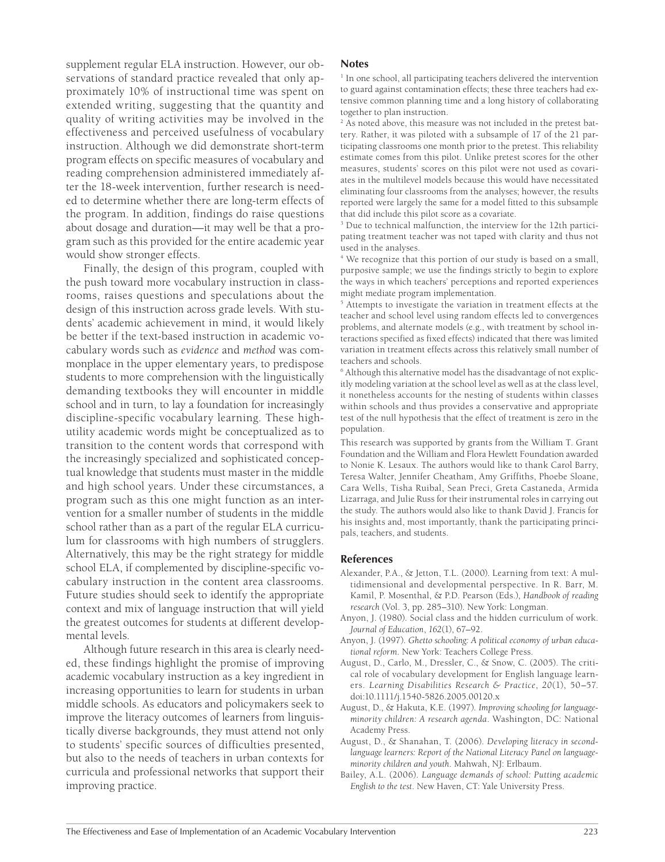about dosage and duration—it may well be that a program such as this provided for the entire academic year would show stronger effects. Finally, the design of this program, coupled with the push toward more vocabulary instruction in classrooms, raises questions and speculations about the design of this instruction across grade levels. With students' academic achievement in mind, it would likely be better if the text-based instruction in academic vocabulary words such as *evidence* and *method* was commonplace in the upper elementary years, to predispose students to more comprehension with the linguistically demanding textbooks they will encounter in middle

supplement regular ELA instruction. However, our observations of standard practice revealed that only approximately 10% of instructional time was spent on extended writing, suggesting that the quantity and quality of writing activities may be involved in the effectiveness and perceived usefulness of vocabulary instruction. Although we did demonstrate short-term program effects on specific measures of vocabulary and reading comprehension administered immediately after the 18-week intervention, further research is needed to determine whether there are long-term effects of the program. In addition, findings do raise questions

school and in turn, to lay a foundation for increasingly discipline-specific vocabulary learning. These highutility academic words might be conceptualized as to transition to the content words that correspond with the increasingly specialized and sophisticated conceptual knowledge that students must master in the middle and high school years. Under these circumstances, a program such as this one might function as an intervention for a smaller number of students in the middle school rather than as a part of the regular ELA curriculum for classrooms with high numbers of strugglers. Alternatively, this may be the right strategy for middle school ELA, if complemented by discipline-specific vocabulary instruction in the content area classrooms. Future studies should seek to identify the appropriate context and mix of language instruction that will yield the greatest outcomes for students at different developmental levels.

Although future research in this area is clearly needed, these findings highlight the promise of improving academic vocabulary instruction as a key ingredient in increasing opportunities to learn for students in urban middle schools. As educators and policymakers seek to improve the literacy outcomes of learners from linguistically diverse backgrounds, they must attend not only to students' specific sources of difficulties presented, but also to the needs of teachers in urban contexts for curricula and professional networks that support their improving practice.

#### **Notes**

1 In one school, all participating teachers delivered the intervention to guard against contamination effects; these three teachers had extensive common planning time and a long history of collaborating together to plan instruction.

<sup>2</sup> As noted above, this measure was not included in the pretest battery. Rather, it was piloted with a subsample of 17 of the 21 participating classrooms one month prior to the pretest. This reliability estimate comes from this pilot. Unlike pretest scores for the other measures, students' scores on this pilot were not used as covariates in the multilevel models because this would have necessitated eliminating four classrooms from the analyses; however, the results reported were largely the same for a model fitted to this subsample that did include this pilot score as a covariate.

<sup>3</sup> Due to technical malfunction, the interview for the 12th participating treatment teacher was not taped with clarity and thus not used in the analyses.

4 We recognize that this portion of our study is based on a small, purposive sample; we use the findings strictly to begin to explore the ways in which teachers' perceptions and reported experiences might mediate program implementation.

<sup>5</sup> Attempts to investigate the variation in treatment effects at the teacher and school level using random effects led to convergences problems, and alternate models (e.g., with treatment by school interactions specified as fixed effects) indicated that there was limited variation in treatment effects across this relatively small number of teachers and schools.

 $^{\rm 6}$  Although this alternative model has the disadvantage of not explicitly modeling variation at the school level as well as at the class level, it nonetheless accounts for the nesting of students within classes within schools and thus provides a conservative and appropriate test of the null hypothesis that the effect of treatment is zero in the population.

This research was supported by grants from the William T. Grant Foundation and the William and Flora Hewlett Foundation awarded to Nonie K. Lesaux. The authors would like to thank Carol Barry, Teresa Walter, Jennifer Cheatham, Amy Griffiths, Phoebe Sloane, Cara Wells, Tisha Ruibal, Sean Preci, Greta Castaneda, Armida Lizarraga, and Julie Russ for their instrumental roles in carrying out the study. The authors would also like to thank David J. Francis for his insights and, most importantly, thank the participating principals, teachers, and students.

#### **References**

- Alexander, P.A., & Jetton, T.L. (2000). Learning from text: A multidimensional and developmental perspective. In R. Barr, M. Kamil, P. Mosenthal, & P.D. Pearson (Eds.), *Handbook of reading research* (Vol. 3, pp. 285–310). New York: Longman.
- Anyon, J. (1980). Social class and the hidden curriculum of work. *Journal of Education*, *162*(1), 67–92.
- Anyon, J. (1997). *Ghetto schooling: A political economy of urban educational reform*. New York: Teachers College Press.
- August, D., Carlo, M., Dressler, C., & Snow, C. (2005). The critical role of vocabulary development for English language learners. *Learning Disabilities Research & Practice*, *20*(1), 50–57. doi:10.1111/j.1540-5826.2005.00120.x
- August, D., & Hakuta, K.E. (1997). *Improving schooling for languageminority children: A research agenda*. Washington, DC: National Academy Press.
- August, D., & Shanahan, T. (2006). *Developing literacy in secondlanguage learners: Report of the National Literacy Panel on languageminority children and youth*. Mahwah, NJ: Erlbaum.
- Bailey, A.L. (2006). *Language demands of school: Putting academic English to the test*. New Haven, CT: Yale University Press.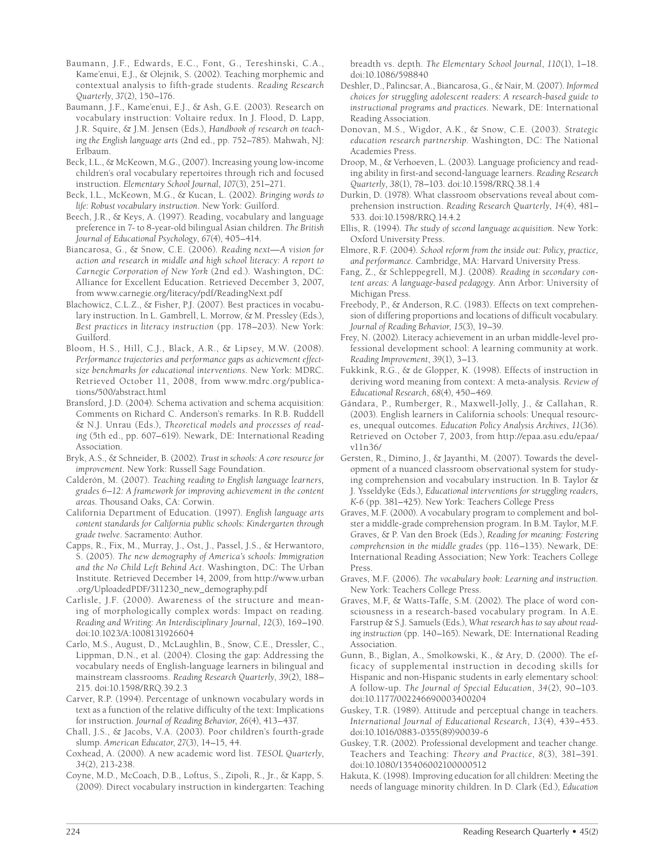Baumann, J.F., Edwards, E.C., Font, G., Tereshinski, C.A., Kame'enui, E.J., & Olejnik, S. (2002). Teaching morphemic and contextual analysis to fifth-grade students. *Reading Research Quarterly*, *37*(2), 150–176.

Baumann, J.F., Kame'enui, E.J., & Ash, G.E. (2003). Research on vocabulary instruction: Voltaire redux. In J. Flood, D. Lapp, J.R. Squire, & J.M. Jensen (Eds.), *Handbook of research on teaching the English language arts* (2nd ed., pp. 752–785). Mahwah, NJ: Erlbaum.

Beck, I.L., & McKeown, M.G., (2007). Increasing young low-income children's oral vocabulary repertoires through rich and focused instruction. *Elementary School Journal, 107*(3), 251–271.

- Beck, I.L., McKeown, M.G., & Kucan, L. (2002). *Bringing words to life: Robust vocabulary instruction*. New York: Guilford.
- Beech, J.R., & Keys, A. (1997). Reading, vocabulary and language preference in 7- to 8-year-old bilingual Asian children. *The British Journal of Educational Psychology*, *67*(4), 405–414.

Biancarosa, G., & Snow, C.E. (2006). *Reading next—A vision for action and research in middle and high school literacy: A report to Carnegie Corporation of New York* (2nd ed.). Washington, DC: Alliance for Excellent Education. Retrieved December 3, 2007, from www.carnegie.org/literacy/pdf/ReadingNext.pdf

Blachowicz, C.L.Z., & Fisher, P.J. (2007). Best practices in vocabulary instruction. In L. Gambrell, L. Morrow, & M. Pressley (Eds.), *Best practices in literacy instruction* (pp. 178–203). New York: Guilford.

Bloom, H.S., Hill, C.J., Black, A.R., & Lipsey, M.W. (2008). *Performance trajectories and performance gaps as achievement effectsize benchmarks for educational interventions*. New York: MDRC. Retrieved October 11, 2008, from www.mdrc.org/publications/500/abstract.html

Bransford, J.D. (2004). Schema activation and schema acquisition: Comments on Richard C. Anderson's remarks. In R.B. Ruddell & N.J. Unrau (Eds.), *Theoretical models and processes of reading* (5th ed., pp. 607–619). Newark, DE: International Reading Association.

Bryk, A.S., & Schneider, B. (2002). *Trust in schools: A core resource for improvement*. New York: Russell Sage Foundation.

Calderón, M. (2007). *Teaching reading to English language learners, grades 6–12: A framework for improving achievement in the content areas.* Thousand Oaks, CA: Corwin.

California Department of Education. (1997). *English language arts content standards for California public schools: Kindergarten through grade twelve*. Sacramento: Author.

Capps, R., Fix, M., Murray, J., Ost, J., Passel, J.S., & Herwantoro, S. (2005). *The new demography of America's schools: Immigration and the No Child Left Behind Act*. Washington, DC: The Urban Institute. Retrieved December 14, 2009, from http://www.urban .org/UploadedPDF/311230\_new\_demography.pdf

Carlisle, J.F. (2000). Awareness of the structure and meaning of morphologically complex words: Impact on reading. *Reading and Writing: An Interdisciplinary Journal*, *12*(3), 169–190. doi:10.1023/A:1008131926604

Carlo, M.S., August, D., McLaughlin, B., Snow, C.E., Dressler, C., Lippman, D.N., et al. (2004). Closing the gap: Addressing the vocabulary needs of English-language learners in bilingual and mainstream classrooms. *Reading Research Quarterly*, *39*(2), 188– 215. doi:10.1598/RRQ.39.2.3

Carver, R.P. (1994). Percentage of unknown vocabulary words in text as a function of the relative difficulty of the text: Implications for instruction. *Journal of Reading Behavior*, *26*(4), 413–437.

Chall, J.S., & Jacobs, V.A. (2003). Poor children's fourth-grade slump. *American Educator*, *27*(3), 14–15, 44.

Coxhead, A. (2000). A new academic word list. *TESOL Quarterly*, *34*(2), 213-238.

Coyne, M.D., McCoach, D.B., Loftus, S., Zipoli, R., Jr., & Kapp, S. (2009). Direct vocabulary instruction in kindergarten: Teaching breadth vs. depth. *The Elementary School Journal*, *110*(1), 1–18. doi:10.1086/598840

- Deshler, D., Palincsar, A., Biancarosa, G., & Nair, M. (2007). *Informed choices for struggling adolescent readers: A research-based guide to instructional programs and practices*. Newark, DE: International Reading Association.
- Donovan, M.S., Wigdor, A.K., & Snow, C.E. (2003). *Strategic education research partnership*. Washington, DC: The National Academies Press.

Droop, M., & Verhoeven, L. (2003). Language proficiency and reading ability in first-and second-language learners. *Reading Research Quarterly*, *38*(1), 78–103. doi:10.1598/RRQ.38.1.4

Durkin, D. (1978). What classroom observations reveal about comprehension instruction. *Reading Research Quarterly*, *14*(4), 481– 533. doi:10.1598/RRQ.14.4.2

- Ellis, R. (1994). *The study of second language acquisition.* New York: Oxford University Press.
- Elmore, R.F. (2004). *School reform from the inside out: Policy, practice, and performance.* Cambridge, MA: Harvard University Press.

Fang, Z., & Schleppegrell, M.J. (2008). *Reading in secondary content areas: A language-based pedagogy.* Ann Arbor: University of Michigan Press.

Freebody, P., & Anderson, R.C. (1983). Effects on text comprehension of differing proportions and locations of difficult vocabulary. *Journal of Reading Behavior*, *15*(3), 19–39.

Frey, N. (2002). Literacy achievement in an urban middle-level professional development school: A learning community at work. *Reading Improvement*, *39*(1), 3–13.

Fukkink, R.G., & de Glopper, K. (1998). Effects of instruction in deriving word meaning from context: A meta-analysis. *Review of Educational Research*, *68*(4), 450–469.

Gándara, P., Rumberger, R., Maxwell-Jolly, J., & Callahan, R. (2003). English learners in California schools: Unequal resources, unequal outcomes. *Education Policy Analysis Archives*, *11*(36). Retrieved on October 7, 2003, from http://epaa.asu.edu/epaa/ v11n36/

Gersten, R., Dimino, J., & Jayanthi, M. (2007). Towards the development of a nuanced classroom observational system for studying comprehension and vocabulary instruction. In B. Taylor & J. Ysseldyke (Eds.), *Educational interventions for struggling readers, K-6* (pp. 381–425). New York: Teachers College Press

Graves, M.F. (2000). A vocabulary program to complement and bolster a middle-grade comprehension program. In B.M. Taylor, M.F. Graves, & P. Van den Broek (Eds.), *Reading for meaning: Fostering comprehension in the middle grades* (pp. 116–135). Newark, DE: International Reading Association; New York: Teachers College Press.

Graves, M.F. (2006). *The vocabulary book: Learning and instruction.* New York: Teachers College Press.

Graves, M.F, & Watts-Taffe, S.M. (2002). The place of word consciousness in a research-based vocabulary program. In A.E. Farstrup & S.J. Samuels (Eds.), *What research has to say about reading instruction* (pp. 140–165). Newark, DE: International Reading Association.

Gunn, B., Biglan, A., Smolkowski, K., & Ary, D. (2000). The efficacy of supplemental instruction in decoding skills for Hispanic and non-Hispanic students in early elementary school: A follow-up. *The Journal of Special Education*, *34*(2), 90–103. doi:10.1177/002246690003400204

Guskey, T.R. (1989). Attitude and perceptual change in teachers. *International Journal of Educational Research*, *13*(4), 439–453. doi:10.1016/0883-0355(89)90039-6

Guskey, T.R. (2002). Professional development and teacher change. Teachers and Teaching: *Theory and Practice*, *8*(3), 381–391. doi:10.1080/135406002100000512

Hakuta, K. (1998). Improving education for all children: Meeting the needs of language minority children. In D. Clark (Ed.), *Education*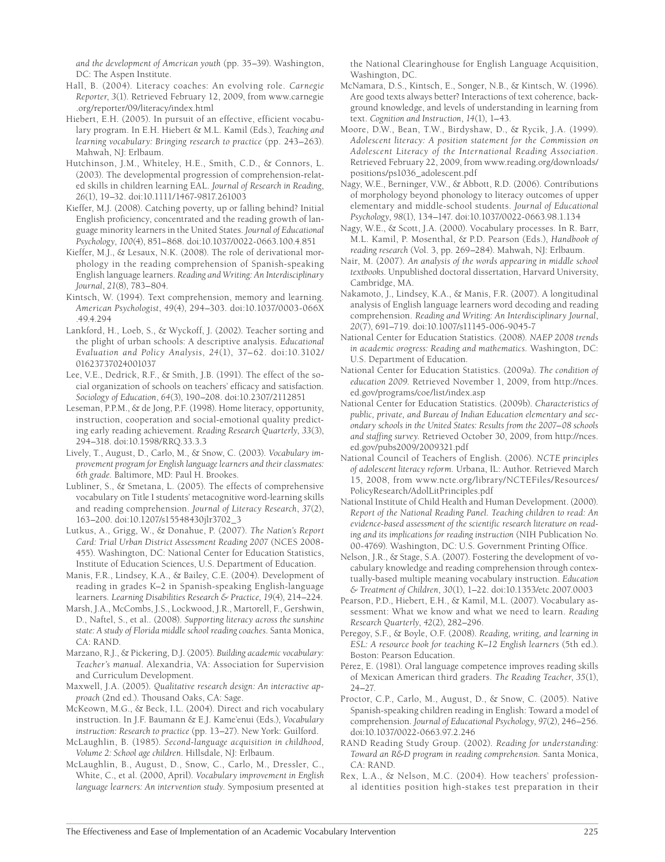*and the development of American youth* (pp. 35–39). Washington, DC: The Aspen Institute.

- Hall, B. (2004). Literacy coaches: An evolving role. *Carnegie Reporter*, *3*(1). Retrieved February 12, 2009, from www.carnegie .org/reporter/09/literacy/index.html
- Hiebert, E.H. (2005). In pursuit of an effective, efficient vocabulary program. In E.H. Hiebert & M.L. Kamil (Eds.), *Teaching and learning vocabulary: Bringing research to practice* (pp. 243–263). Mahwah, NJ: Erlbaum.
- Hutchinson, J.M., Whiteley, H.E., Smith, C.D., & Connors, L. (2003). The developmental progression of comprehension-related skills in children learning EAL. *Journal of Research in Reading*, *26*(1), 19–32. doi:10.1111/1467-9817.261003
- Kieffer, M.J. (2008). Catching poverty, up or falling behind? Initial English proficiency, concentrated and the reading growth of language minority learners in the United States. *Journal of Educational Psychology*, *100*(4), 851–868. doi:10.1037/0022-0663.100.4.851
- Kieffer, M.J., & Lesaux, N.K. (2008). The role of derivational morphology in the reading comprehension of Spanish-speaking English language learners. *Reading and Writing: An Interdisciplinary Journal*, *21*(8), 783–804.
- Kintsch, W. (1994). Text comprehension, memory and learning. *American Psychologist*, *49*(4), 294–303. doi:10.1037/0003-066X .49.4.294
- Lankford, H., Loeb, S., & Wyckoff, J. (2002). Teacher sorting and the plight of urban schools: A descriptive analysis. *Educational Evaluation and Policy Analysis*, *24*(1), 37–62. doi:10.3102/ 01623737024001037
- Lee, V.E., Dedrick, R.F., & Smith, J.B. (1991). The effect of the social organization of schools on teachers' efficacy and satisfaction. *Sociology of Education*, *64*(3), 190–208. doi:10.2307/2112851
- Leseman, P.P.M., & de Jong, P.F. (1998). Home literacy, opportunity, instruction, cooperation and social-emotional quality predicting early reading achievement. *Reading Research Quarterly*, *33*(3), 294–318. doi:10.1598/RRQ.33.3.3
- Lively, T., August, D., Carlo, M., & Snow, C. (2003). *Vocabulary improvement program for English language learners and their classmates: 6th grade.* Baltimore, MD: Paul H. Brookes.
- Lubliner, S., & Smetana, L. (2005). The effects of comprehensive vocabulary on Title I students' metacognitive word-learning skills and reading comprehension. *Journal of Literacy Research*, *37*(2), 163–200. doi:10.1207/s15548430jlr3702\_3
- Lutkus, A., Grigg, W., & Donahue, P. (2007). *The Nation's Report Card: Trial Urban District Assessment Reading 2007* (NCES 2008- 455). Washington, DC: National Center for Education Statistics, Institute of Education Sciences, U.S. Department of Education.
- Manis, F.R., Lindsey, K.A., & Bailey, C.E. (2004). Development of reading in grades K–2 in Spanish-speaking English-language learners. *Learning Disabilities Research & Practice, 19*(4), 214–224.
- Marsh, J.A., McCombs, J.S., Lockwood, J.R., Martorell, F., Gershwin, D., Naftel, S., et al.. (2008). *Supporting literacy across the sunshine state: A study of Florida middle school reading coaches*. Santa Monica, CA: RAND.
- Marzano, R.J., & Pickering, D.J. (2005). *Building academic vocabulary: Teacher's manual*. Alexandria, VA: Association for Supervision and Curriculum Development.
- Maxwell, J.A. (2005). *Qualitative research design: An interactive approach* (2nd ed.). Thousand Oaks, CA: Sage.
- McKeown, M.G., & Beck, I.L. (2004). Direct and rich vocabulary instruction. In J.F. Baumann & E.J. Kame'enui (Eds.), *Vocabulary instruction: Research to practice* (pp. 13–27). New York: Guilford.
- McLaughlin, B. (1985). *Second-language acquisition in childhood, Volume 2: School age children*. Hillsdale, NJ: Erlbaum.
- McLaughlin, B., August, D., Snow, C., Carlo, M., Dressler, C., White, C., et al. (2000, April). *Vocabulary improvement in English language learners: An intervention study*. Symposium presented at

the National Clearinghouse for English Language Acquisition, Washington, DC.

- McNamara, D.S., Kintsch, E., Songer, N.B., & Kintsch, W. (1996). Are good texts always better? Interactions of text coherence, background knowledge, and levels of understanding in learning from text. *Cognition and Instruction*, *14*(1), 1–43.
- Moore, D.W., Bean, T.W., Birdyshaw, D., & Rycik, J.A. (1999). *Adolescent literacy: A position statement for the Commission on Adolescent Literacy of the International Reading Association*. Retrieved February 22, 2009, from www.reading.org/downloads/ positions/ps1036\_adolescent.pdf
- Nagy, W.E., Berninger, V.W., & Abbott, R.D. (2006). Contributions of morphology beyond phonology to literacy outcomes of upper elementary and middle-school students. *Journal of Educational Psychology*, *98*(1), 134–147. doi:10.1037/0022-0663.98.1.134
- Nagy, W.E., & Scott, J.A. (2000). Vocabulary processes. In R. Barr, M.L. Kamil, P. Mosenthal, & P.D. Pearson (Eds.), *Handbook of reading research* (Vol. 3, pp. 269–284). Mahwah, NJ: Erlbaum.
- Nair, M. (2007). *An analysis of the words appearing in middle school textbooks.* Unpublished doctoral dissertation, Harvard University, Cambridge, MA.
- Nakamoto, J., Lindsey, K.A., & Manis, F.R. (2007). A longitudinal analysis of English language learners word decoding and reading comprehension. *Reading and Writing: An Interdisciplinary Journal*, *20*(7), 691–719. doi:10.1007/s11145-006-9045-7
- National Center for Education Statistics. (2008). *NAEP 2008 trends in academic orogress: Reading and mathematics.* Washington, DC: U.S. Department of Education.
- National Center for Education Statistics. (2009a). *The condition of education 2009.* Retrieved November 1, 2009, from http://nces. ed.gov/programs/coe/list/index.asp
- National Center for Education Statistics. (2009b). *Characteristics of public, private, and Bureau of Indian Education elementary and secondary schools in the United States: Results from the 2007–08 schools and staffing survey.* Retrieved October 30, 2009, from http://nces. ed.gov/pubs2009/2009321.pdf
- National Council of Teachers of English. (2006). *NCTE principles of adolescent literacy reform.* Urbana, IL: Author. Retrieved March 15, 2008, from www.ncte.org/library/NCTEFiles/Resources/ PolicyResearch/AdolLitPrinciples.pdf
- National Institute of Child Health and Human Development. (2000). *Report of the National Reading Panel. Teaching children to read: An evidence-based assessment of the scientific research literature on reading and its implications for reading instruction* (NIH Publication No. 00-4769). Washington, DC: U.S. Government Printing Office.
- Nelson, J.R., & Stage, S.A. (2007). Fostering the development of vocabulary knowledge and reading comprehension through contextually-based multiple meaning vocabulary instruction. *Education & Treatment of Children*, *30*(1), 1–22. doi:10.1353/etc.2007.0003
- Pearson, P.D., Hiebert, E.H., & Kamil, M.L. (2007). Vocabulary assessment: What we know and what we need to learn. *Reading Research Quarterly*, *42*(2), 282–296.
- Peregoy, S.F., & Boyle, O.F. (2008). *Reading, writing, and learning in ESL: A resource book for teaching K–12 English learners* (5th ed.). Boston: Pearson Education.
- Pérez, E. (1981). Oral language competence improves reading skills of Mexican American third graders. *The Reading Teacher*, *35*(1), 24–27.
- Proctor, C.P., Carlo, M., August, D., & Snow, C. (2005). Native Spanish-speaking children reading in English: Toward a model of comprehension. *Journal of Educational Psychology*, *97*(2), 246–256. doi:10.1037/0022-0663.97.2.246
- RAND Reading Study Group. (2002). *Reading for understanding: Toward an R&D program in reading comprehension.* Santa Monica, CA: RAND.
- Rex, L.A., & Nelson, M.C. (2004). How teachers' professional identities position high-stakes test preparation in their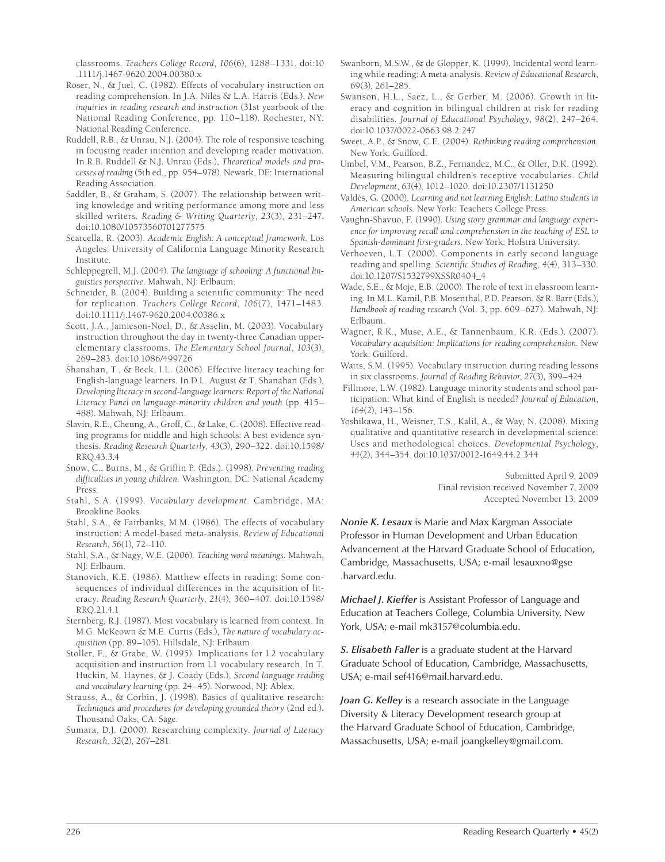classrooms. *Teachers College Record*, *106*(6), 1288–1331. doi:10 .1111/j.1467-9620.2004.00380.x

- Roser, N., & Juel, C. (1982). Effects of vocabulary instruction on reading comprehension. In J.A. Niles & L.A. Harris (Eds.), *New inquiries in reading research and instruction* (31st yearbook of the National Reading Conference, pp. 110–118). Rochester, NY: National Reading Conference.
- Ruddell, R.B., & Unrau, N.J. (2004). The role of responsive teaching in focusing reader intention and developing reader motivation. In R.B. Ruddell & N.J. Unrau (Eds.), *Theoretical models and processes of reading* (5th ed., pp. 954–978). Newark, DE: International Reading Association.
- Saddler, B., & Graham, S. (2007). The relationship between writing knowledge and writing performance among more and less skilled writers. *Reading & Writing Quarterly*, *23*(3), 231–247. doi:10.1080/10573560701277575
- Scarcella, R. (2003). *Academic English: A conceptual framework.* Los Angeles: University of California Language Minority Research Institute.
- Schleppegrell, M.J. (2004). *The language of schooling: A functional linguistics perspective.* Mahwah, NJ: Erlbaum.
- Schneider, B. (2004). Building a scientific community: The need for replication. *Teachers College Record*, *106*(7), 1471–1483. doi:10.1111/j.1467-9620.2004.00386.x
- Scott, J.A., Jamieson-Noel, D., & Asselin, M. (2003). Vocabulary instruction throughout the day in twenty-three Canadian upperelementary classrooms. *The Elementary School Journal*, *103*(3), 269–283. doi:10.1086/499726
- Shanahan, T., & Beck, I.L. (2006). Effective literacy teaching for English-language learners. In D.L. August & T. Shanahan (Eds.), *Developing literacy in second-language learners: Report of the National Literacy Panel on language-minority children and youth* (pp. 415– 488). Mahwah, NJ: Erlbaum.
- Slavin, R.E., Cheung, A., Groff, C., & Lake, C. (2008). Effective reading programs for middle and high schools: A best evidence synthesis. *Reading Research Quarterly*, *43*(3), 290–322. doi:10.1598/ RRQ.43.3.4
- Snow, C., Burns, M., & Griffin P. (Eds.). (1998). *Preventing reading difficulties in young children.* Washington, DC: National Academy Press.
- Stahl, S.A. (1999). *Vocabulary development.* Cambridge, MA: Brookline Books.
- Stahl, S.A., & Fairbanks, M.M. (1986). The effects of vocabulary instruction: A model-based meta-analysis. *Review of Educational Research*, *56*(1), 72–110.
- Stahl, S.A., & Nagy, W.E. (2006). *Teaching word meanings.* Mahwah, NJ: Erlbaum.
- Stanovich, K.E. (1986). Matthew effects in reading: Some consequences of individual differences in the acquisition of literacy. *Reading Research Quarterly*, *21*(4), 360–407. doi:10.1598/ RRQ.21.4.1
- Sternberg, R.J. (1987). Most vocabulary is learned from context. In M.G. McKeown & M.E. Curtis (Eds.), *The nature of vocabulary acquisition* (pp. 89–105). Hillsdale, NJ: Erlbaum.
- Stoller, F., & Grabe, W. (1995). Implications for L2 vocabulary acquisition and instruction from L1 vocabulary research. In T. Huckin, M. Haynes, & J. Coady (Eds.), *Second language reading and vocabulary learning* (pp. 24–45). Norwood, NJ: Ablex.
- Strauss, A., & Corbin, J. (1998). Basics of qualitative research: *Techniques and procedures for developing grounded theory* (2nd ed.). Thousand Oaks, CA: Sage.
- Sumara, D.J. (2000). Researching complexity. *Journal of Literacy Research*, *32*(2), 267–281.
- Swanborn, M.S.W., & de Glopper, K. (1999). Incidental word learning while reading: A meta-analysis. *Review of Educational Research*, 69(3), 261–285.
- Swanson, H.L., Saez, L., & Gerber, M. (2006). Growth in literacy and cognition in bilingual children at risk for reading disabilities. *Journal of Educational Psychology*, *98*(2), 247–264. doi:10.1037/0022-0663.98.2.247
- Sweet, A.P., & Snow, C.E. (2004). *Rethinking reading comprehension.* New York: Guilford.
- Umbel, V.M., Pearson, B.Z., Fernandez, M.C., & Oller, D.K. (1992). Measuring bilingual children's receptive vocabularies. *Child Development*, *63*(4), 1012–1020. doi:10.2307/1131250
- Valdés, G. (2000). *Learning and not learning English: Latino students in American schools.* New York: Teachers College Press.
- Vaughn-Shavuo, F. (1990). *Using story grammar and language experience for improving recall and comprehension in the teaching of ESL to Spanish-dominant first-graders.* New York: Hofstra University.
- Verhoeven, L.T. (2000). Components in early second language reading and spelling. *Scientific Studies of Reading*, *4*(4), 313–330. doi:10.1207/S1532799XSSR0404\_4
- Wade, S.E., & Moje, E.B. (2000). The role of text in classroom learning. In M.L. Kamil, P.B. Mosenthal, P.D. Pearson, & R. Barr (Eds.), *Handbook of reading research* (Vol. 3, pp. 609–627). Mahwah, NJ: Erlbaum.
- Wagner, R.K., Muse, A.E., & Tannenbaum, K.R. (Eds.). (2007). *Vocabulary acquisition: Implications for reading comprehension.* New York: Guilford.
- Watts, S.M. (1995). Vocabulary instruction during reading lessons in six classrooms. *Journal of Reading Behavior*, *27*(3), 399–424.
- Fillmore, L.W. (1982). Language minority students and school participation: What kind of English is needed? *Journal of Education*, *164*(2), 143–156.
- Yoshikawa, H., Weisner, T.S., Kalil, A., & Way, N. (2008). Mixing qualitative and quantitative research in developmental science: Uses and methodological choices. *Developmental Psychology*, *44*(2), 344–354. doi:10.1037/0012-1649.44.2.344

Submitted April 9, 2009 Final revision received November 7, 2009

Accepted November 13, 2009

*Nonie K. Lesaux* is Marie and Max Kargman Associate Professor in Human Development and Urban Education Advancement at the Harvard Graduate School of Education, Cambridge, Massachusetts, USA; e-mail lesauxno@gse .harvard.edu.

*Michael J. Kieffer* is Assistant Professor of Language and Education at Teachers College, Columbia University, New York, USA; e-mail mk3157@columbia.edu.

*S. Elisabeth Faller* is a graduate student at the Harvard Graduate School of Education, Cambridge, Massachusetts, USA; e-mail sef416@mail.harvard.edu.

*Joan G. Kelley* is a research associate in the Language Diversity & Literacy Development research group at the Harvard Graduate School of Education, Cambridge, Massachusetts, USA; e-mail joangkelley@gmail.com.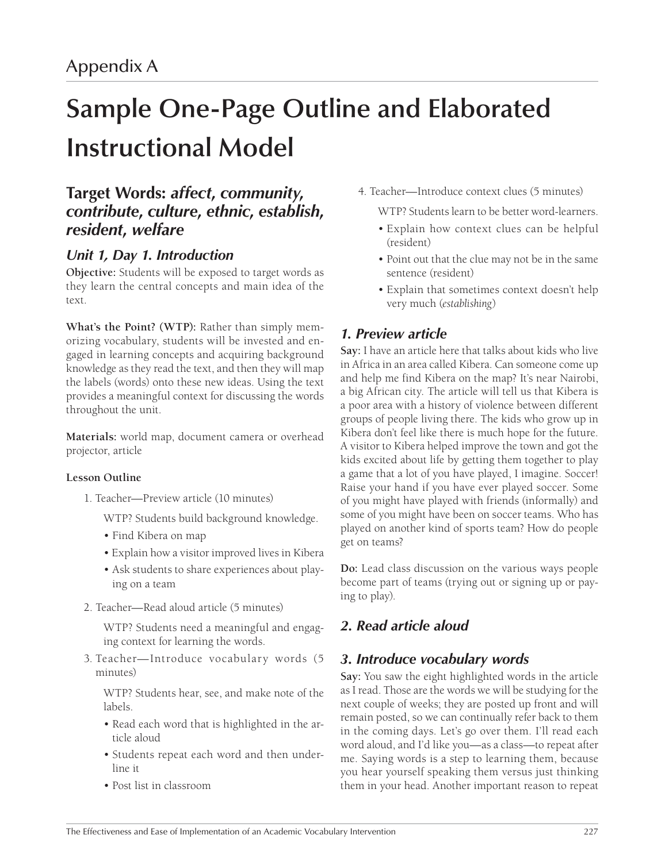# **Sample One-Page Outline and Elaborated Instructional Model**

# **Target Words:** *affect***,** *community***,**  *contribute***,** *culture***,** *ethnic***,** *establish***,**  *resident***,** *welfare*

## *Unit 1, Day 1. Introduction*

**Objective:** Students will be exposed to target words as they learn the central concepts and main idea of the text.

**What's the Point? (WTP):** Rather than simply memorizing vocabulary, students will be invested and engaged in learning concepts and acquiring background knowledge as they read the text, and then they will map the labels (words) onto these new ideas. Using the text provides a meaningful context for discussing the words throughout the unit.

**Materials:** world map, document camera or overhead projector, article

#### **Lesson Outline**

- 1. Teacher—Preview article (10 minutes)
	- WTP? Students build background knowledge.
	- Find Kibera on map
	- Explain how a visitor improved lives in Kibera
	- Ask students to share experiences about playing on a team
- 2. Teacher—Read aloud article (5 minutes)

 WTP? Students need a meaningful and engaging context for learning the words.

3. Teacher—Introduce vocabulary words (5 minutes)

 WTP? Students hear, see, and make note of the labels.

- Read each word that is highlighted in the article aloud
- Students repeat each word and then underline it
- Post list in classroom

4. Teacher—Introduce context clues (5 minutes)

WTP? Students learn to be better word-learners.

- Explain how context clues can be helpful (resident)
- Point out that the clue may not be in the same sentence (resident)
- Explain that sometimes context doesn't help very much (*establishing*)

# *1. Preview article*

**Say:** I have an article here that talks about kids who live in Africa in an area called Kibera. Can someone come up and help me find Kibera on the map? It's near Nairobi, a big African city. The article will tell us that Kibera is a poor area with a history of violence between different groups of people living there. The kids who grow up in Kibera don't feel like there is much hope for the future. A visitor to Kibera helped improve the town and got the kids excited about life by getting them together to play a game that a lot of you have played, I imagine. Soccer! Raise your hand if you have ever played soccer. Some of you might have played with friends (informally) and some of you might have been on soccer teams. Who has played on another kind of sports team? How do people get on teams?

**Do:** Lead class discussion on the various ways people become part of teams (trying out or signing up or paying to play).

# *2. Read article aloud*

# *3. Introduce vocabulary words*

**Say:** You saw the eight highlighted words in the article as I read. Those are the words we will be studying for the next couple of weeks; they are posted up front and will remain posted, so we can continually refer back to them in the coming days. Let's go over them. I'll read each word aloud, and I'd like you—as a class—to repeat after me. Saying words is a step to learning them, because you hear yourself speaking them versus just thinking them in your head. Another important reason to repeat